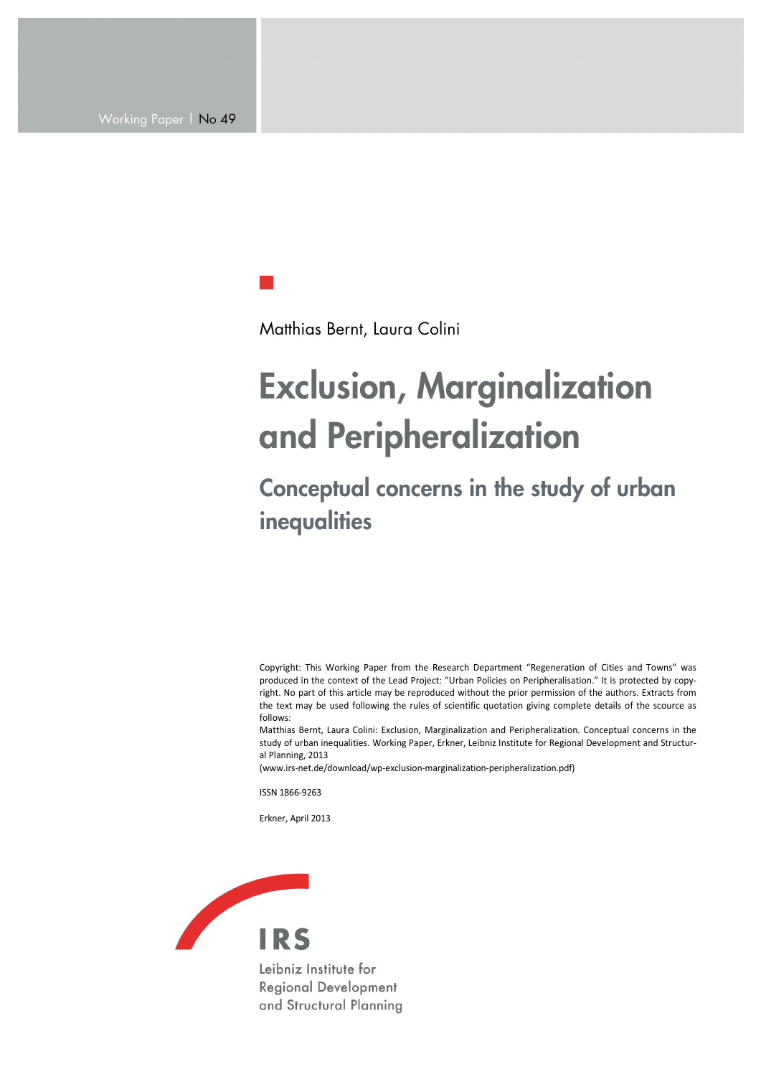Matthias Bernt, Laura Colini

# Exclusion, Marginalization and Peripheralization

## Conceptual concerns in the study of urban inequalities

Copyright: This Working Paper from the Research Department "Regeneration of Cities and Towns" was produced in the context of the Lead Project: "Urban Policies on Peripheralisation." It is protected by copyright. No part of this article may be reproduced without the prior permission of the authors. Extracts from the text may be used following the rules of scientific quotation giving complete details of the scource as follows:

Matthias Bernt, Laura Colini: Exclusion, Marginalization and Peripheralization. Conceptual concerns in the study of urban inequalities. Working Paper, Erkner, Leibniz Institute for Regional Development and Structural Planning, 2013

(www.irs-net.de/download/wp-exclusion-marginalization-peripheralization.pdf)

ISSN 1866-9263

Erkner, April 2013

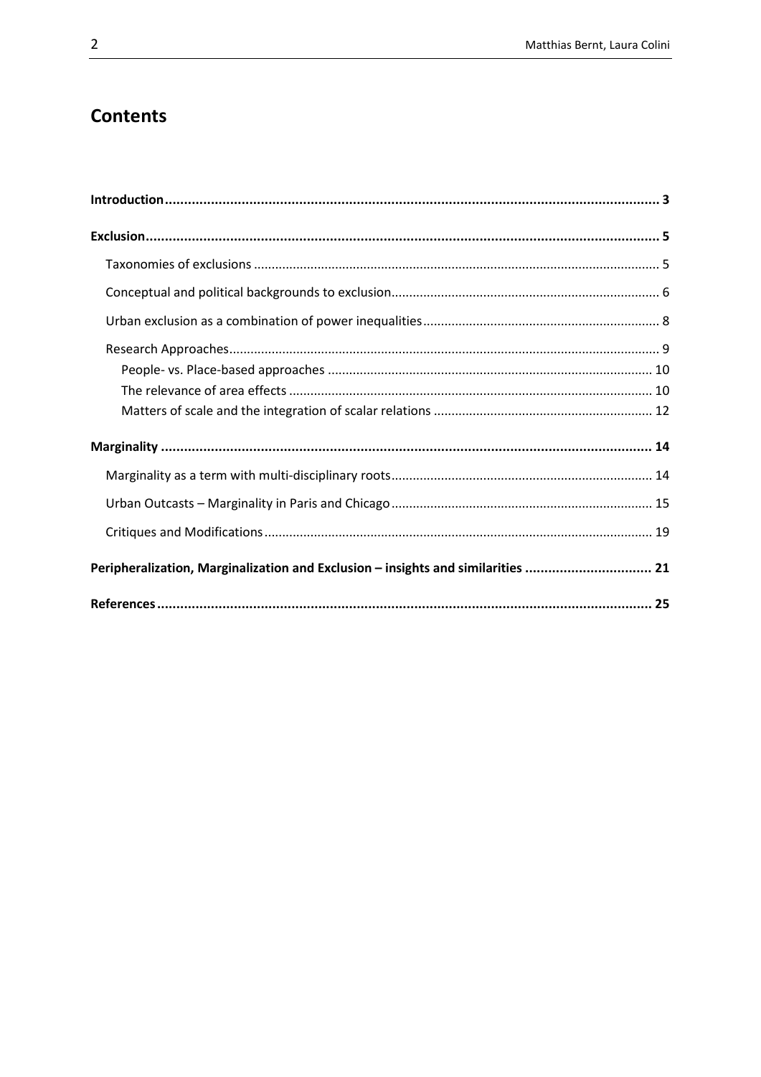### **Contents**

| Peripheralization, Marginalization and Exclusion - insights and similarities  21 |  |
|----------------------------------------------------------------------------------|--|
|                                                                                  |  |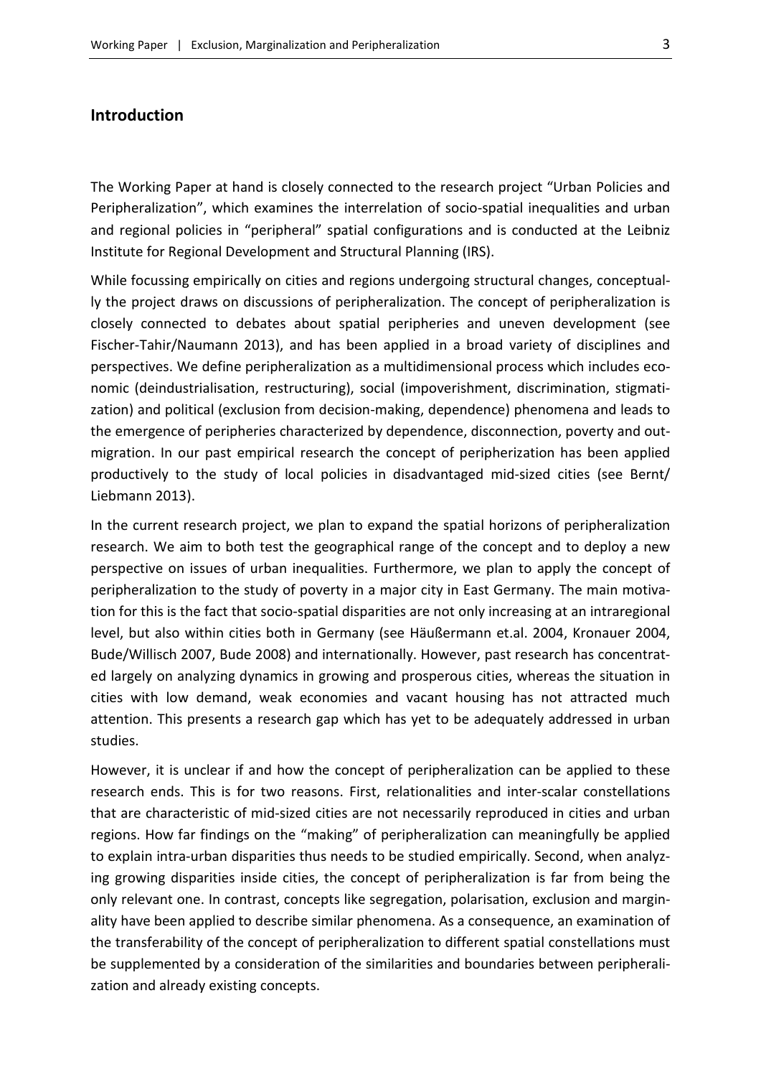#### <span id="page-2-0"></span>**Introduction**

The Working Paper at hand is closely connected to the research project "Urban Policies and Peripheralization", which examines the interrelation of socio-spatial inequalities and urban and regional policies in "peripheral" spatial configurations and is conducted at the Leibniz Institute for Regional Development and Structural Planning (IRS).

While focussing empirically on cities and regions undergoing structural changes, conceptually the project draws on discussions of peripheralization. The concept of peripheralization is closely connected to debates about spatial peripheries and uneven development (see Fischer-Tahir/Naumann 2013), and has been applied in a broad variety of disciplines and perspectives. We define peripheralization as a multidimensional process which includes economic (deindustrialisation, restructuring), social (impoverishment, discrimination, stigmatization) and political (exclusion from decision-making, dependence) phenomena and leads to the emergence of peripheries characterized by dependence, disconnection, poverty and outmigration. In our past empirical research the concept of peripherization has been applied productively to the study of local policies in disadvantaged mid-sized cities (see Bernt/ Liebmann 2013).

In the current research project, we plan to expand the spatial horizons of peripheralization research. We aim to both test the geographical range of the concept and to deploy a new perspective on issues of urban inequalities. Furthermore, we plan to apply the concept of peripheralization to the study of poverty in a major city in East Germany. The main motivation for this is the fact that socio-spatial disparities are not only increasing at an intraregional level, but also within cities both in Germany (see Häußermann et.al. 2004, Kronauer 2004, Bude/Willisch 2007, Bude 2008) and internationally. However, past research has concentrated largely on analyzing dynamics in growing and prosperous cities, whereas the situation in cities with low demand, weak economies and vacant housing has not attracted much attention. This presents a research gap which has yet to be adequately addressed in urban studies.

However, it is unclear if and how the concept of peripheralization can be applied to these research ends. This is for two reasons. First, relationalities and inter-scalar constellations that are characteristic of mid-sized cities are not necessarily reproduced in cities and urban regions. How far findings on the "making" of peripheralization can meaningfully be applied to explain intra-urban disparities thus needs to be studied empirically. Second, when analyzing growing disparities inside cities, the concept of peripheralization is far from being the only relevant one. In contrast, concepts like segregation, polarisation, exclusion and marginality have been applied to describe similar phenomena. As a consequence, an examination of the transferability of the concept of peripheralization to different spatial constellations must be supplemented by a consideration of the similarities and boundaries between peripheralization and already existing concepts.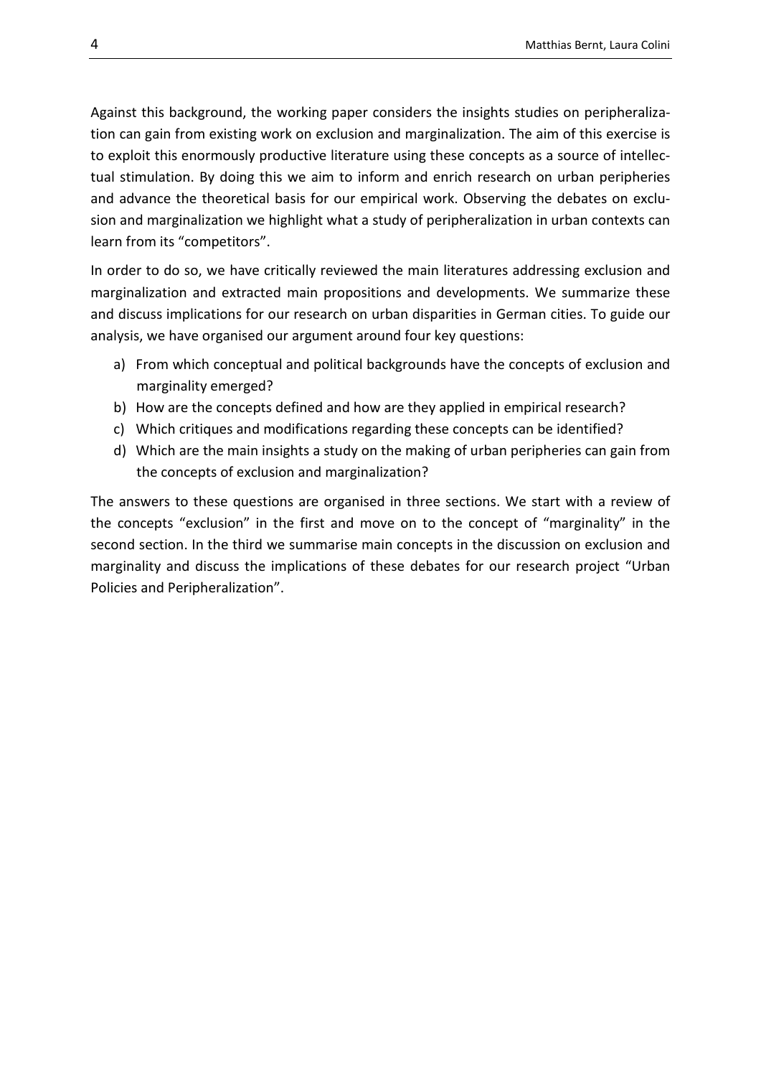Against this background, the working paper considers the insights studies on peripheralization can gain from existing work on exclusion and marginalization. The aim of this exercise is to exploit this enormously productive literature using these concepts as a source of intellectual stimulation. By doing this we aim to inform and enrich research on urban peripheries and advance the theoretical basis for our empirical work. Observing the debates on exclusion and marginalization we highlight what a study of peripheralization in urban contexts can learn from its "competitors".

In order to do so, we have critically reviewed the main literatures addressing exclusion and marginalization and extracted main propositions and developments. We summarize these and discuss implications for our research on urban disparities in German cities. To guide our analysis, we have organised our argument around four key questions:

- a) From which conceptual and political backgrounds have the concepts of exclusion and marginality emerged?
- b) How are the concepts defined and how are they applied in empirical research?
- c) Which critiques and modifications regarding these concepts can be identified?
- d) Which are the main insights a study on the making of urban peripheries can gain from the concepts of exclusion and marginalization?

The answers to these questions are organised in three sections. We start with a review of the concepts "exclusion" in the first and move on to the concept of "marginality" in the second section. In the third we summarise main concepts in the discussion on exclusion and marginality and discuss the implications of these debates for our research project "Urban Policies and Peripheralization".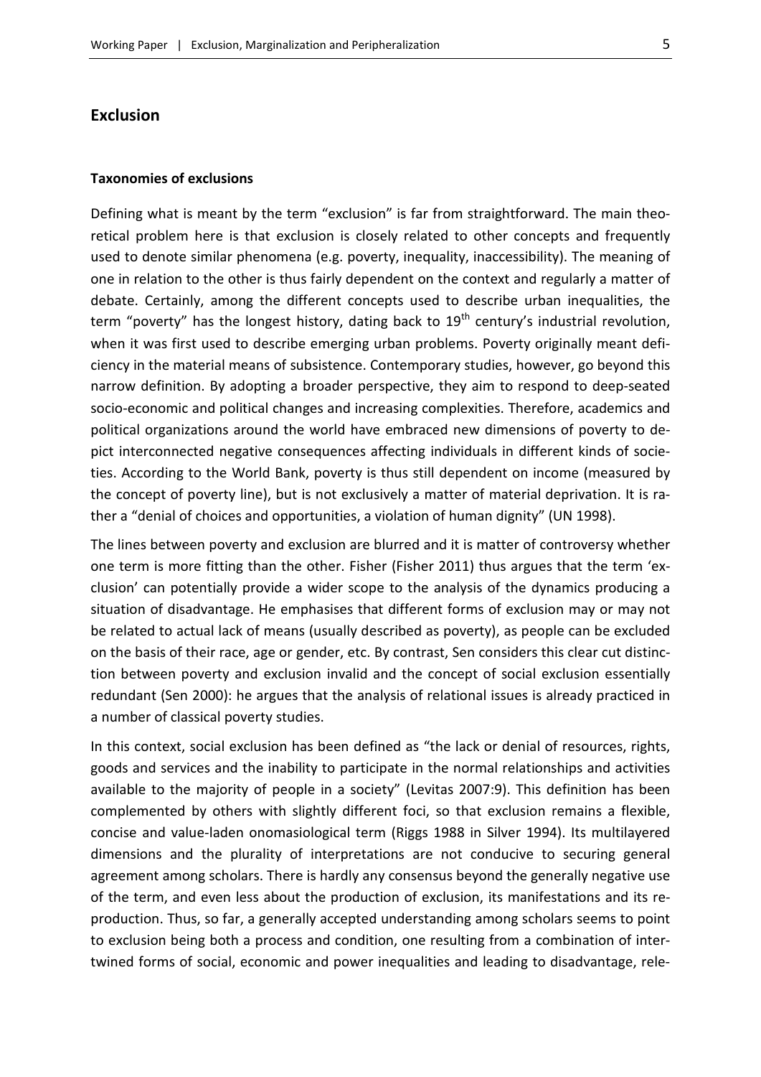#### <span id="page-4-0"></span>**Exclusion**

#### <span id="page-4-1"></span>**Taxonomies of exclusions**

Defining what is meant by the term "exclusion" is far from straightforward. The main theoretical problem here is that exclusion is closely related to other concepts and frequently used to denote similar phenomena (e.g. poverty, inequality, inaccessibility). The meaning of one in relation to the other is thus fairly dependent on the context and regularly a matter of debate. Certainly, among the different concepts used to describe urban inequalities, the term "poverty" has the longest history, dating back to  $19<sup>th</sup>$  century's industrial revolution, when it was first used to describe emerging urban problems. Poverty originally meant deficiency in the material means of subsistence. Contemporary studies, however, go beyond this narrow definition. By adopting a broader perspective, they aim to respond to deep-seated socio-economic and political changes and increasing complexities. Therefore, academics and political organizations around the world have embraced new dimensions of poverty to depict interconnected negative consequences affecting individuals in different kinds of societies. According to the World Bank, poverty is thus still dependent on income (measured by the concept of poverty line), but is not exclusively a matter of material deprivation. It is rather a "denial of choices and opportunities, a violation of human dignity" (UN 1998).

The lines between poverty and exclusion are blurred and it is matter of controversy whether one term is more fitting than the other. Fisher (Fisher 2011) thus argues that the term 'exclusion' can potentially provide a wider scope to the analysis of the dynamics producing a situation of disadvantage. He emphasises that different forms of exclusion may or may not be related to actual lack of means (usually described as poverty), as people can be excluded on the basis of their race, age or gender, etc. By contrast, Sen considers this clear cut distinction between poverty and exclusion invalid and the concept of social exclusion essentially redundant (Sen 2000): he argues that the analysis of relational issues is already practiced in a number of classical poverty studies.

In this context, social exclusion has been defined as "the lack or denial of resources, rights, goods and services and the inability to participate in the normal relationships and activities available to the majority of people in a society" (Levitas 2007:9). This definition has been complemented by others with slightly different foci, so that exclusion remains a flexible, concise and value-laden onomasiological term (Riggs 1988 in Silver 1994). Its multilayered dimensions and the plurality of interpretations are not conducive to securing general agreement among scholars. There is hardly any consensus beyond the generally negative use of the term, and even less about the production of exclusion, its manifestations and its reproduction. Thus, so far, a generally accepted understanding among scholars seems to point to exclusion being both a process and condition, one resulting from a combination of intertwined forms of social, economic and power inequalities and leading to disadvantage, rele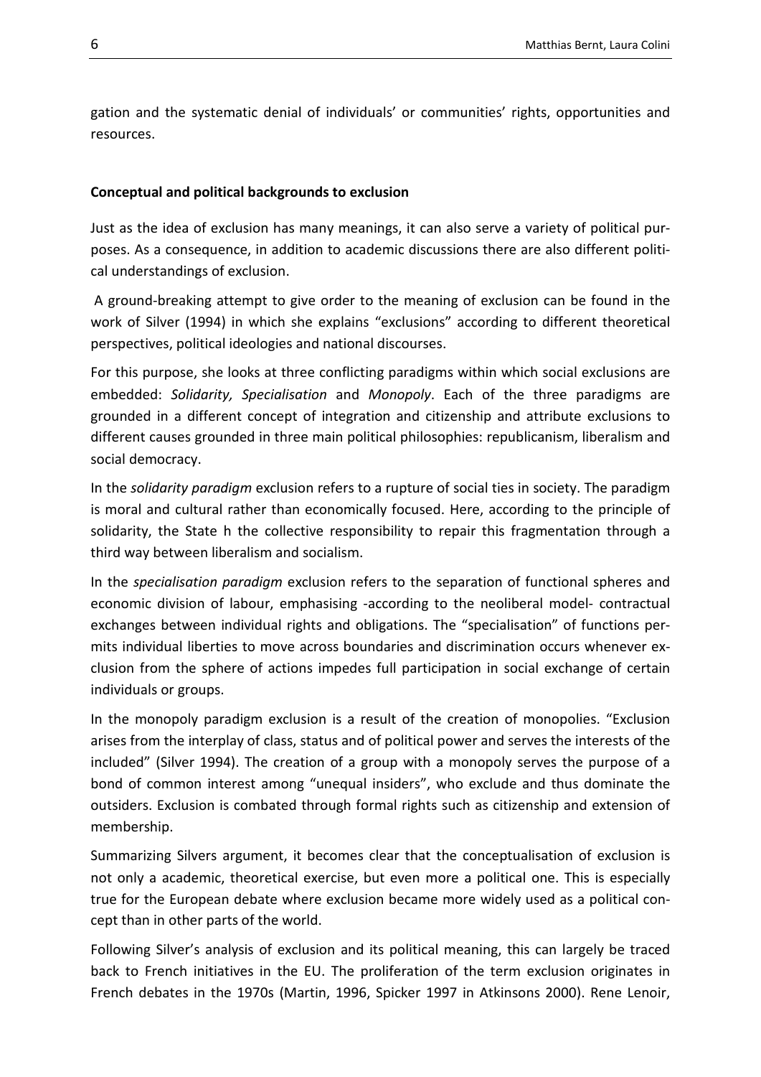gation and the systematic denial of individuals' or communities' rights, opportunities and resources.

#### <span id="page-5-0"></span>**Conceptual and political backgrounds to exclusion**

Just as the idea of exclusion has many meanings, it can also serve a variety of political purposes. As a consequence, in addition to academic discussions there are also different political understandings of exclusion.

A ground-breaking attempt to give order to the meaning of exclusion can be found in the work of Silver (1994) in which she explains "exclusions" according to different theoretical perspectives, political ideologies and national discourses.

For this purpose, she looks at three conflicting paradigms within which social exclusions are embedded: *Solidarity, Specialisation* and *Monopoly*. Each of the three paradigms are grounded in a different concept of integration and citizenship and attribute exclusions to different causes grounded in three main political philosophies: republicanism, liberalism and social democracy.

In the *solidarity paradigm* exclusion refers to a rupture of social ties in society. The paradigm is moral and cultural rather than economically focused. Here, according to the principle of solidarity, the State h the collective responsibility to repair this fragmentation through a third way between liberalism and socialism.

In the *specialisation paradigm* exclusion refers to the separation of functional spheres and economic division of labour, emphasising -according to the neoliberal model- contractual exchanges between individual rights and obligations. The "specialisation" of functions permits individual liberties to move across boundaries and discrimination occurs whenever exclusion from the sphere of actions impedes full participation in social exchange of certain individuals or groups.

In the monopoly paradigm exclusion is a result of the creation of monopolies. "Exclusion arises from the interplay of class, status and of political power and serves the interests of the included" (Silver 1994). The creation of a group with a monopoly serves the purpose of a bond of common interest among "unequal insiders", who exclude and thus dominate the outsiders. Exclusion is combated through formal rights such as citizenship and extension of membership.

Summarizing Silvers argument, it becomes clear that the conceptualisation of exclusion is not only a academic, theoretical exercise, but even more a political one. This is especially true for the European debate where exclusion became more widely used as a political concept than in other parts of the world.

Following Silver's analysis of exclusion and its political meaning, this can largely be traced back to French initiatives in the EU. The proliferation of the term exclusion originates in French debates in the 1970s (Martin, 1996, Spicker 1997 in Atkinsons 2000). Rene Lenoir,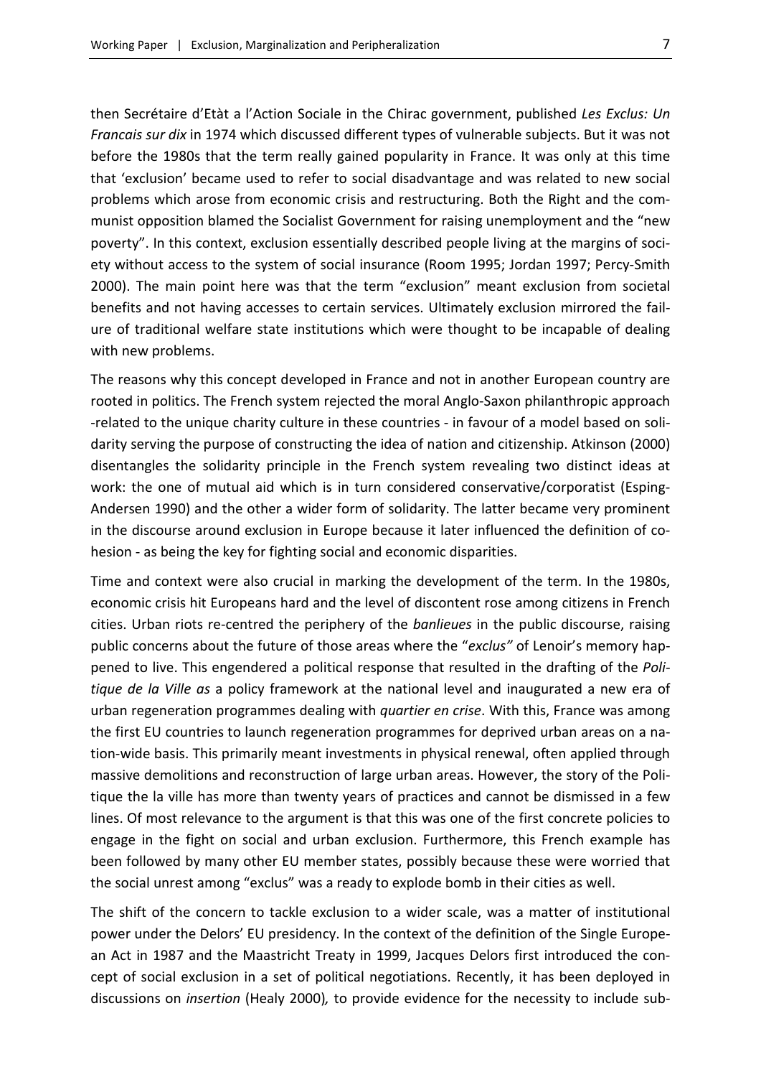then Secrétaire d'Etàt a l'Action Sociale in the Chirac government, published *Les Exclus: Un Francais sur dix* in 1974 which discussed different types of vulnerable subjects. But it was not before the 1980s that the term really gained popularity in France. It was only at this time that 'exclusion' became used to refer to social disadvantage and was related to new social problems which arose from economic crisis and restructuring. Both the Right and the communist opposition blamed the Socialist Government for raising unemployment and the "new poverty". In this context, exclusion essentially described people living at the margins of society without access to the system of social insurance (Room 1995; Jordan 1997; Percy-Smith 2000). The main point here was that the term "exclusion" meant exclusion from societal benefits and not having accesses to certain services. Ultimately exclusion mirrored the failure of traditional welfare state institutions which were thought to be incapable of dealing with new problems.

The reasons why this concept developed in France and not in another European country are rooted in politics. The French system rejected the moral Anglo-Saxon philanthropic approach -related to the unique charity culture in these countries - in favour of a model based on solidarity serving the purpose of constructing the idea of nation and citizenship. Atkinson (2000) disentangles the solidarity principle in the French system revealing two distinct ideas at work: the one of mutual aid which is in turn considered conservative/corporatist (Esping-Andersen 1990) and the other a wider form of solidarity. The latter became very prominent in the discourse around exclusion in Europe because it later influenced the definition of cohesion - as being the key for fighting social and economic disparities.

Time and context were also crucial in marking the development of the term. In the 1980s, economic crisis hit Europeans hard and the level of discontent rose among citizens in French cities. Urban riots re-centred the periphery of the *banlieues* in the public discourse, raising public concerns about the future of those areas where the "*exclus"* of Lenoir's memory happened to live. This engendered a political response that resulted in the drafting of the *Politique de la Ville as* a policy framework at the national level and inaugurated a new era of urban regeneration programmes dealing with *quartier en crise*. With this, France was among the first EU countries to launch regeneration programmes for deprived urban areas on a nation-wide basis. This primarily meant investments in physical renewal, often applied through massive demolitions and reconstruction of large urban areas. However, the story of the Politique the la ville has more than twenty years of practices and cannot be dismissed in a few lines. Of most relevance to the argument is that this was one of the first concrete policies to engage in the fight on social and urban exclusion. Furthermore, this French example has been followed by many other EU member states, possibly because these were worried that the social unrest among "exclus" was a ready to explode bomb in their cities as well.

The shift of the concern to tackle exclusion to a wider scale, was a matter of institutional power under the Delors' EU presidency. In the context of the definition of the Single European Act in 1987 and the Maastricht Treaty in 1999, Jacques Delors first introduced the concept of social exclusion in a set of political negotiations. Recently, it has been deployed in discussions on *insertion* (Healy 2000)*,* to provide evidence for the necessity to include sub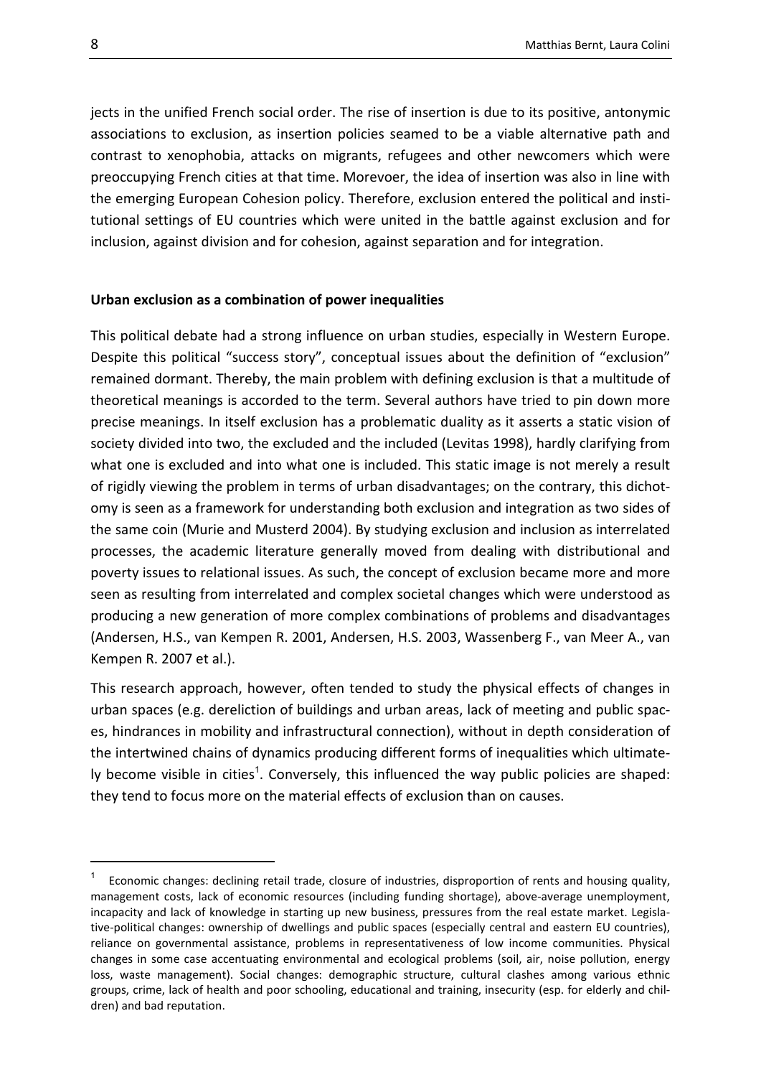jects in the unified French social order. The rise of insertion is due to its positive, antonymic associations to exclusion, as insertion policies seamed to be a viable alternative path and contrast to xenophobia, attacks on migrants, refugees and other newcomers which were preoccupying French cities at that time. Morevoer, the idea of insertion was also in line with the emerging European Cohesion policy. Therefore, exclusion entered the political and institutional settings of EU countries which were united in the battle against exclusion and for inclusion, against division and for cohesion, against separation and for integration.

#### <span id="page-7-0"></span>**Urban exclusion as a combination of power inequalities**

This political debate had a strong influence on urban studies, especially in Western Europe. Despite this political "success story", conceptual issues about the definition of "exclusion" remained dormant. Thereby, the main problem with defining exclusion is that a multitude of theoretical meanings is accorded to the term. Several authors have tried to pin down more precise meanings. In itself exclusion has a problematic duality as it asserts a static vision of society divided into two, the excluded and the included (Levitas 1998), hardly clarifying from what one is excluded and into what one is included. This static image is not merely a result of rigidly viewing the problem in terms of urban disadvantages; on the contrary, this dichotomy is seen as a framework for understanding both exclusion and integration as two sides of the same coin (Murie and Musterd 2004). By studying exclusion and inclusion as interrelated processes, the academic literature generally moved from dealing with distributional and poverty issues to relational issues. As such, the concept of exclusion became more and more seen as resulting from interrelated and complex societal changes which were understood as producing a new generation of more complex combinations of problems and disadvantages (Andersen, H.S., van Kempen R. 2001, Andersen, H.S. 2003, Wassenberg F., van Meer A., van Kempen R. 2007 et al.).

This research approach, however, often tended to study the physical effects of changes in urban spaces (e.g. dereliction of buildings and urban areas, lack of meeting and public spaces, hindrances in mobility and infrastructural connection), without in depth consideration of the intertwined chains of dynamics producing different forms of inequalities which ultimately become visible in cities<sup>1</sup>. Conversely, this influenced the way public policies are shaped: they tend to focus more on the material effects of exclusion than on causes.

1

<sup>1</sup> Economic changes: declining retail trade, closure of industries, disproportion of rents and housing quality, management costs, lack of economic resources (including funding shortage), above-average unemployment, incapacity and lack of knowledge in starting up new business, pressures from the real estate market. Legislative-political changes: ownership of dwellings and public spaces (especially central and eastern EU countries), reliance on governmental assistance, problems in representativeness of low income communities. Physical changes in some case accentuating environmental and ecological problems (soil, air, noise pollution, energy loss, waste management). Social changes: demographic structure, cultural clashes among various ethnic groups, crime, lack of health and poor schooling, educational and training, insecurity (esp. for elderly and children) and bad reputation.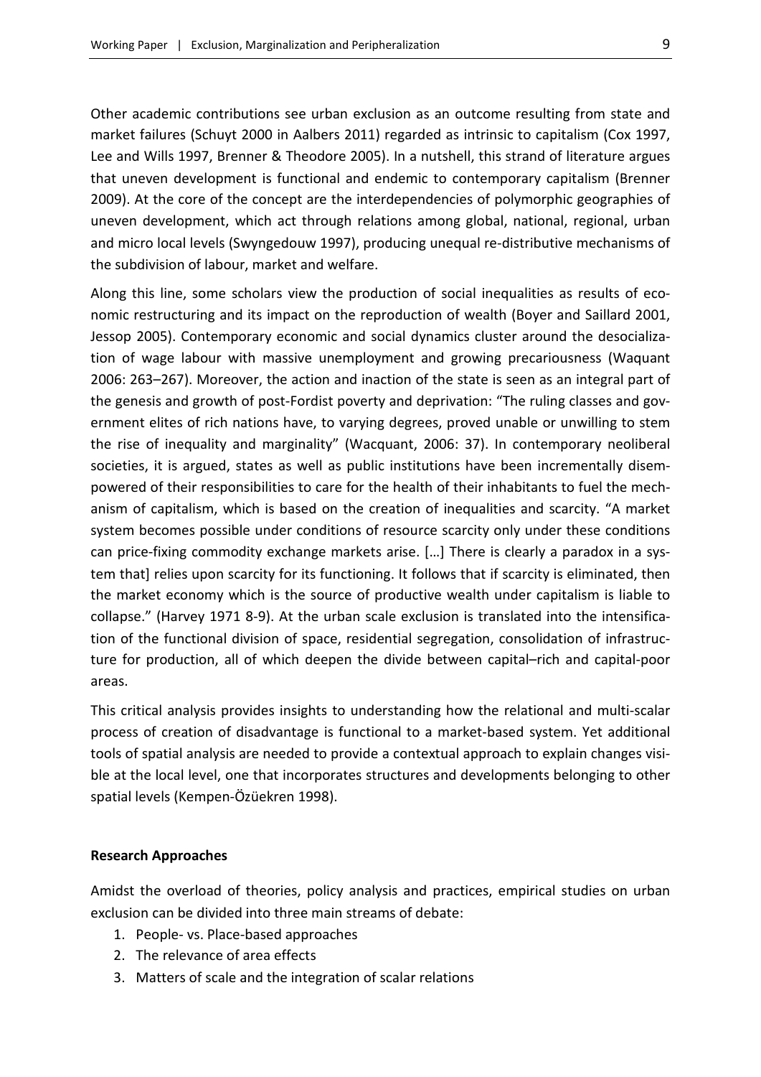Other academic contributions see urban exclusion as an outcome resulting from state and market failures (Schuyt 2000 in Aalbers 2011) regarded as intrinsic to capitalism (Cox 1997, Lee and Wills 1997, Brenner & Theodore 2005). In a nutshell, this strand of literature argues that uneven development is functional and endemic to contemporary capitalism (Brenner 2009). At the core of the concept are the interdependencies of polymorphic geographies of uneven development, which act through relations among global, national, regional, urban and micro local levels (Swyngedouw 1997), producing unequal re-distributive mechanisms of the subdivision of labour, market and welfare.

Along this line, some scholars view the production of social inequalities as results of economic restructuring and its impact on the reproduction of wealth (Boyer and Saillard 2001, Jessop 2005). Contemporary economic and social dynamics cluster around the desocialization of wage labour with massive unemployment and growing precariousness (Waquant 2006: 263–267). Moreover, the action and inaction of the state is seen as an integral part of the genesis and growth of post-Fordist poverty and deprivation: "The ruling classes and government elites of rich nations have, to varying degrees, proved unable or unwilling to stem the rise of inequality and marginality" (Wacquant, 2006: 37). In contemporary neoliberal societies, it is argued, states as well as public institutions have been incrementally disempowered of their responsibilities to care for the health of their inhabitants to fuel the mechanism of capitalism, which is based on the creation of inequalities and scarcity. "A market system becomes possible under conditions of resource scarcity only under these conditions can price-fixing commodity exchange markets arise. […] There is clearly a paradox in a system that] relies upon scarcity for its functioning. It follows that if scarcity is eliminated, then the market economy which is the source of productive wealth under capitalism is liable to collapse." (Harvey 1971 8-9). At the urban scale exclusion is translated into the intensification of the functional division of space, residential segregation, consolidation of infrastructure for production, all of which deepen the divide between capital–rich and capital-poor areas.

This critical analysis provides insights to understanding how the relational and multi-scalar process of creation of disadvantage is functional to a market-based system. Yet additional tools of spatial analysis are needed to provide a contextual approach to explain changes visible at the local level, one that incorporates structures and developments belonging to other spatial levels (Kempen-Özüekren 1998).

#### <span id="page-8-0"></span>**Research Approaches**

Amidst the overload of theories, policy analysis and practices, empirical studies on urban exclusion can be divided into three main streams of debate:

- 1. People- vs. Place-based approaches
- 2. The relevance of area effects
- 3. Matters of scale and the integration of scalar relations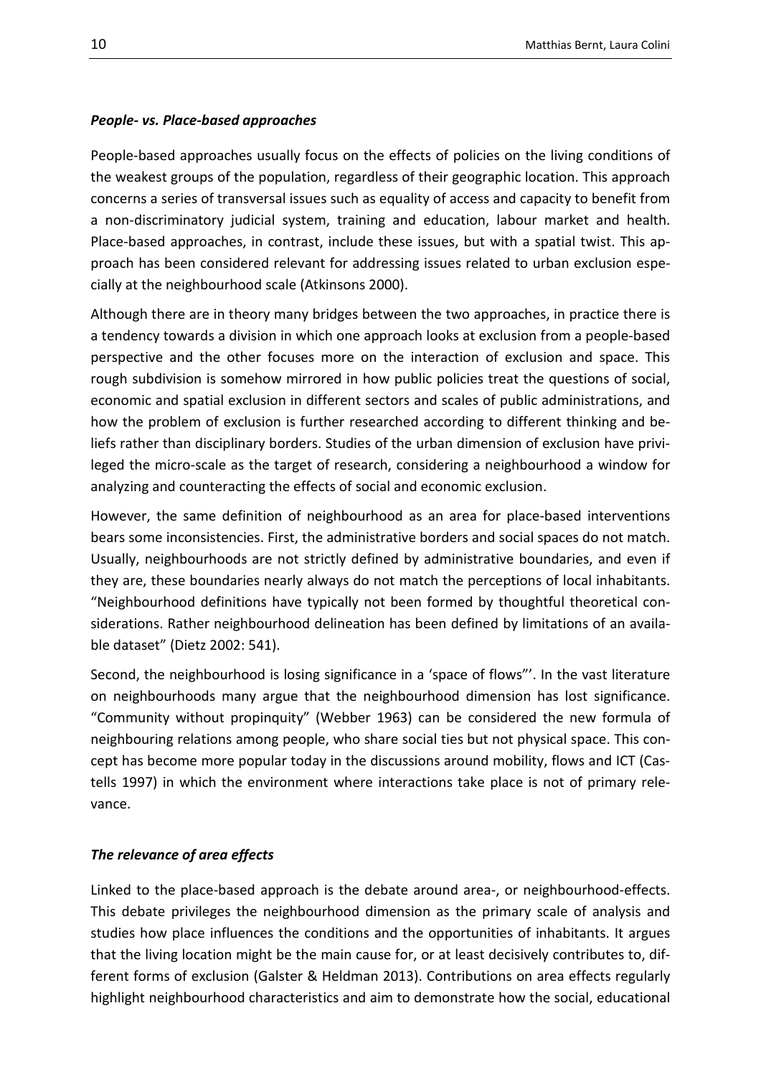#### <span id="page-9-0"></span>*People- vs. Place-based approaches*

People-based approaches usually focus on the effects of policies on the living conditions of the weakest groups of the population, regardless of their geographic location. This approach concerns a series of transversal issues such as equality of access and capacity to benefit from a non-discriminatory judicial system, training and education, labour market and health. Place-based approaches, in contrast, include these issues, but with a spatial twist. This approach has been considered relevant for addressing issues related to urban exclusion especially at the neighbourhood scale (Atkinsons 2000).

Although there are in theory many bridges between the two approaches, in practice there is a tendency towards a division in which one approach looks at exclusion from a people-based perspective and the other focuses more on the interaction of exclusion and space. This rough subdivision is somehow mirrored in how public policies treat the questions of social, economic and spatial exclusion in different sectors and scales of public administrations, and how the problem of exclusion is further researched according to different thinking and beliefs rather than disciplinary borders. Studies of the urban dimension of exclusion have privileged the micro-scale as the target of research, considering a neighbourhood a window for analyzing and counteracting the effects of social and economic exclusion.

However, the same definition of neighbourhood as an area for place-based interventions bears some inconsistencies. First, the administrative borders and social spaces do not match. Usually, neighbourhoods are not strictly defined by administrative boundaries, and even if they are, these boundaries nearly always do not match the perceptions of local inhabitants. "Neighbourhood definitions have typically not been formed by thoughtful theoretical considerations. Rather neighbourhood delineation has been defined by limitations of an available dataset" (Dietz 2002: 541).

Second, the neighbourhood is losing significance in a 'space of flows"'. In the vast literature on neighbourhoods many argue that the neighbourhood dimension has lost significance. "Community without propinquity" (Webber 1963) can be considered the new formula of neighbouring relations among people, who share social ties but not physical space. This concept has become more popular today in the discussions around mobility, flows and ICT (Castells 1997) in which the environment where interactions take place is not of primary relevance.

#### <span id="page-9-1"></span>*The relevance of area effects*

Linked to the place-based approach is the debate around area-, or neighbourhood-effects. This debate privileges the neighbourhood dimension as the primary scale of analysis and studies how place influences the conditions and the opportunities of inhabitants. It argues that the living location might be the main cause for, or at least decisively contributes to, different forms of exclusion (Galster & Heldman 2013). Contributions on area effects regularly highlight neighbourhood characteristics and aim to demonstrate how the social, educational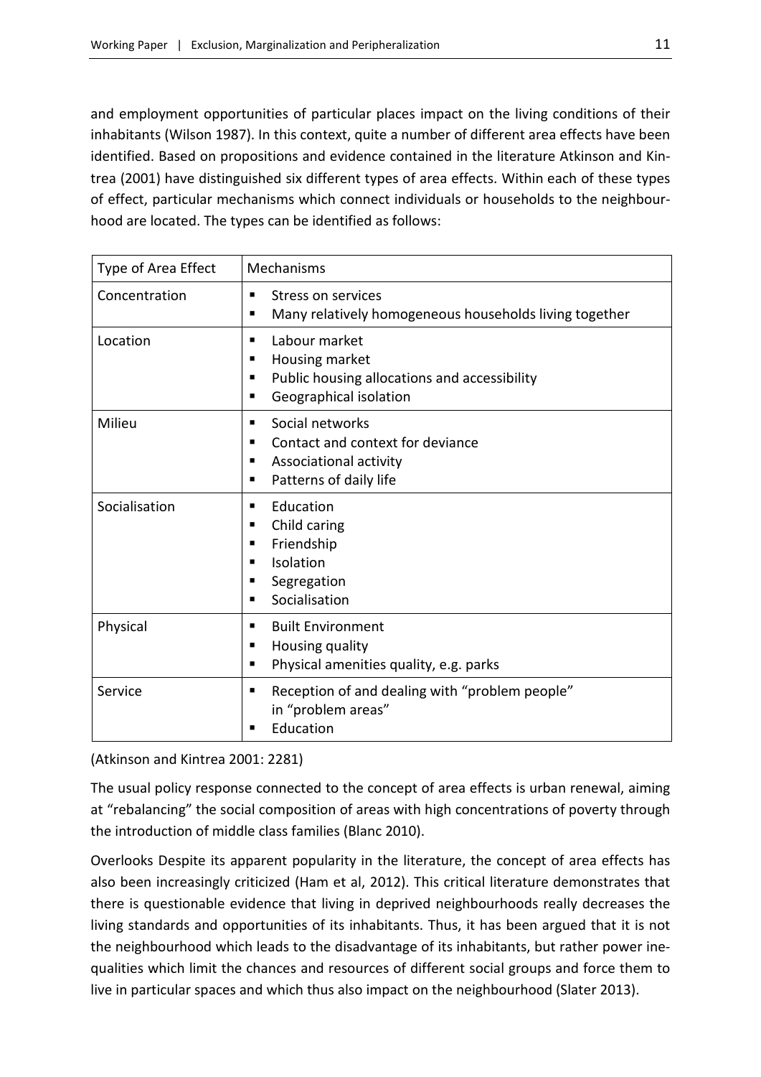and employment opportunities of particular places impact on the living conditions of their inhabitants (Wilson 1987). In this context, quite a number of different area effects have been identified. Based on propositions and evidence contained in the literature Atkinson and Kintrea (2001) have distinguished six different types of area effects. Within each of these types of effect, particular mechanisms which connect individuals or households to the neighbourhood are located. The types can be identified as follows:

| Type of Area Effect | Mechanisms                                                                                                                    |
|---------------------|-------------------------------------------------------------------------------------------------------------------------------|
| Concentration       | Stress on services<br>п<br>Many relatively homogeneous households living together<br>п                                        |
| Location            | Labour market<br>٠<br>Housing market<br>п<br>Public housing allocations and accessibility<br>п<br>Geographical isolation<br>п |
| Milieu              | Social networks<br>٠<br>Contact and context for deviance<br>٠<br>Associational activity<br>٠<br>Patterns of daily life<br>п   |
| Socialisation       | Education<br>٠<br>Child caring<br>п<br>Friendship<br>٠<br>Isolation<br>п<br>Segregation<br>п<br>Socialisation<br>▪            |
| Physical            | <b>Built Environment</b><br>п<br>Housing quality<br>п<br>Physical amenities quality, e.g. parks<br>п                          |
| Service             | Reception of and dealing with "problem people"<br>٠<br>in "problem areas"<br>Education<br>п                                   |

(Atkinson and Kintrea 2001: 2281)

The usual policy response connected to the concept of area effects is urban renewal, aiming at "rebalancing" the social composition of areas with high concentrations of poverty through the introduction of middle class families (Blanc 2010).

Overlooks Despite its apparent popularity in the literature, the concept of area effects has also been increasingly criticized (Ham et al, 2012). This critical literature demonstrates that there is questionable evidence that living in deprived neighbourhoods really decreases the living standards and opportunities of its inhabitants. Thus, it has been argued that it is not the neighbourhood which leads to the disadvantage of its inhabitants, but rather power inequalities which limit the chances and resources of different social groups and force them to live in particular spaces and which thus also impact on the neighbourhood (Slater 2013).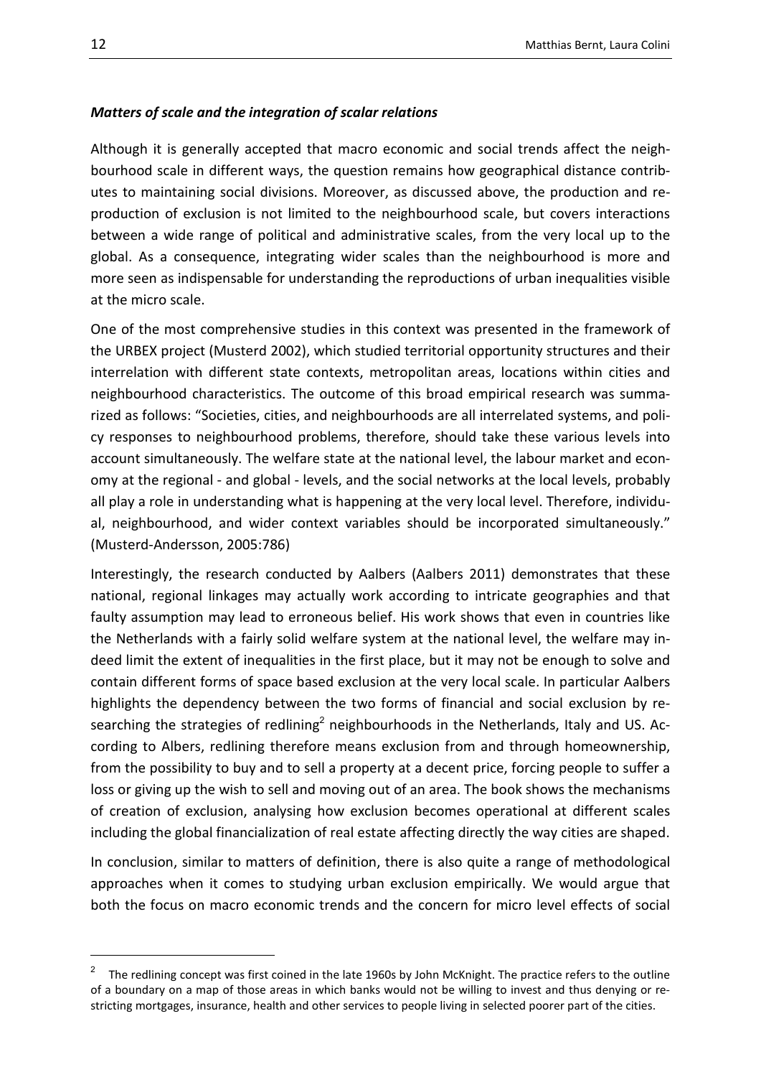#### <span id="page-11-0"></span>*Matters of scale and the integration of scalar relations*

Although it is generally accepted that macro economic and social trends affect the neighbourhood scale in different ways, the question remains how geographical distance contributes to maintaining social divisions. Moreover, as discussed above, the production and reproduction of exclusion is not limited to the neighbourhood scale, but covers interactions between a wide range of political and administrative scales, from the very local up to the global. As a consequence, integrating wider scales than the neighbourhood is more and more seen as indispensable for understanding the reproductions of urban inequalities visible at the micro scale.

One of the most comprehensive studies in this context was presented in the framework of the URBEX project (Musterd 2002), which studied territorial opportunity structures and their interrelation with different state contexts, metropolitan areas, locations within cities and neighbourhood characteristics. The outcome of this broad empirical research was summarized as follows: "Societies, cities, and neighbourhoods are all interrelated systems, and policy responses to neighbourhood problems, therefore, should take these various levels into account simultaneously. The welfare state at the national level, the labour market and economy at the regional - and global - levels, and the social networks at the local levels, probably all play a role in understanding what is happening at the very local level. Therefore, individual, neighbourhood, and wider context variables should be incorporated simultaneously." (Musterd-Andersson, 2005:786)

Interestingly, the research conducted by Aalbers (Aalbers 2011) demonstrates that these national, regional linkages may actually work according to intricate geographies and that faulty assumption may lead to erroneous belief. His work shows that even in countries like the Netherlands with a fairly solid welfare system at the national level, the welfare may indeed limit the extent of inequalities in the first place, but it may not be enough to solve and contain different forms of space based exclusion at the very local scale. In particular Aalbers highlights the dependency between the two forms of financial and social exclusion by researching the strategies of redlining<sup>2</sup> neighbourhoods in the Netherlands, Italy and US. According to Albers, redlining therefore means exclusion from and through homeownership, from the possibility to buy and to sell a property at a decent price, forcing people to suffer a loss or giving up the wish to sell and moving out of an area. The book shows the mechanisms of creation of exclusion, analysing how exclusion becomes operational at different scales including the global financialization of real estate affecting directly the way cities are shaped.

In conclusion, similar to matters of definition, there is also quite a range of methodological approaches when it comes to studying urban exclusion empirically. We would argue that both the focus on macro economic trends and the concern for micro level effects of social

1

The redlining concept was first coined in the late 1960s by John McKnight. The practice refers to the outline of a boundary on a map of those areas in which banks would not be willing to invest and thus denying or restricting mortgages, insurance, health and other services to people living in selected poorer part of the cities.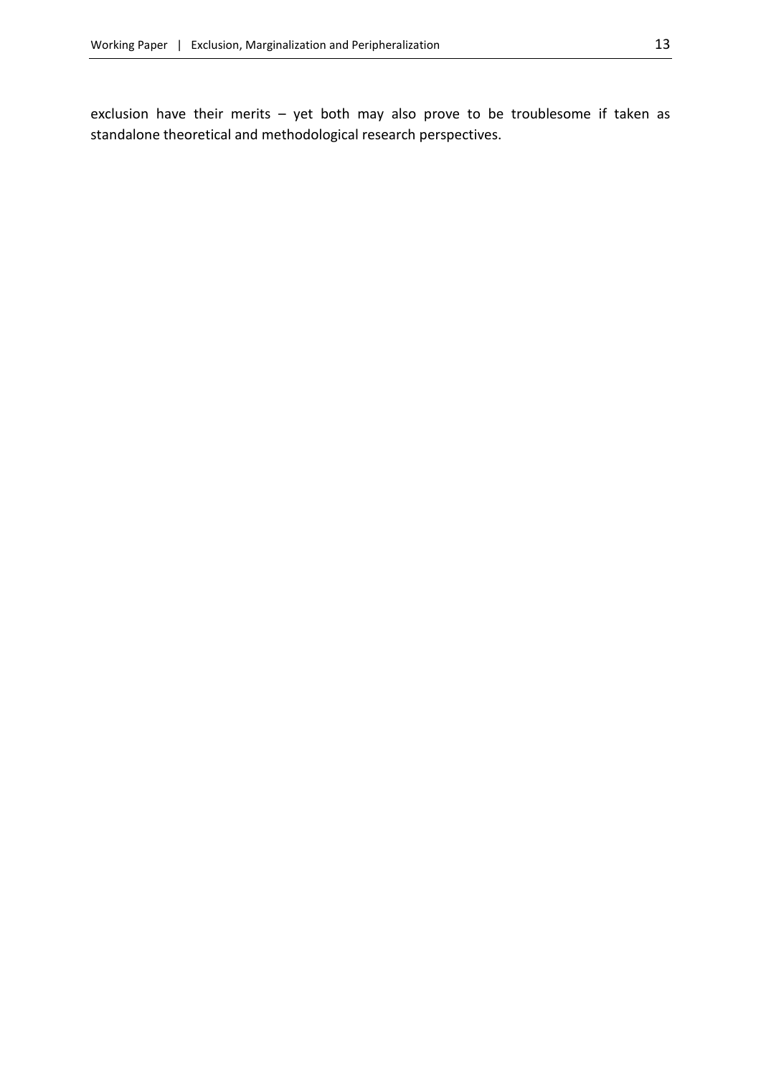exclusion have their merits – yet both may also prove to be troublesome if taken as standalone theoretical and methodological research perspectives.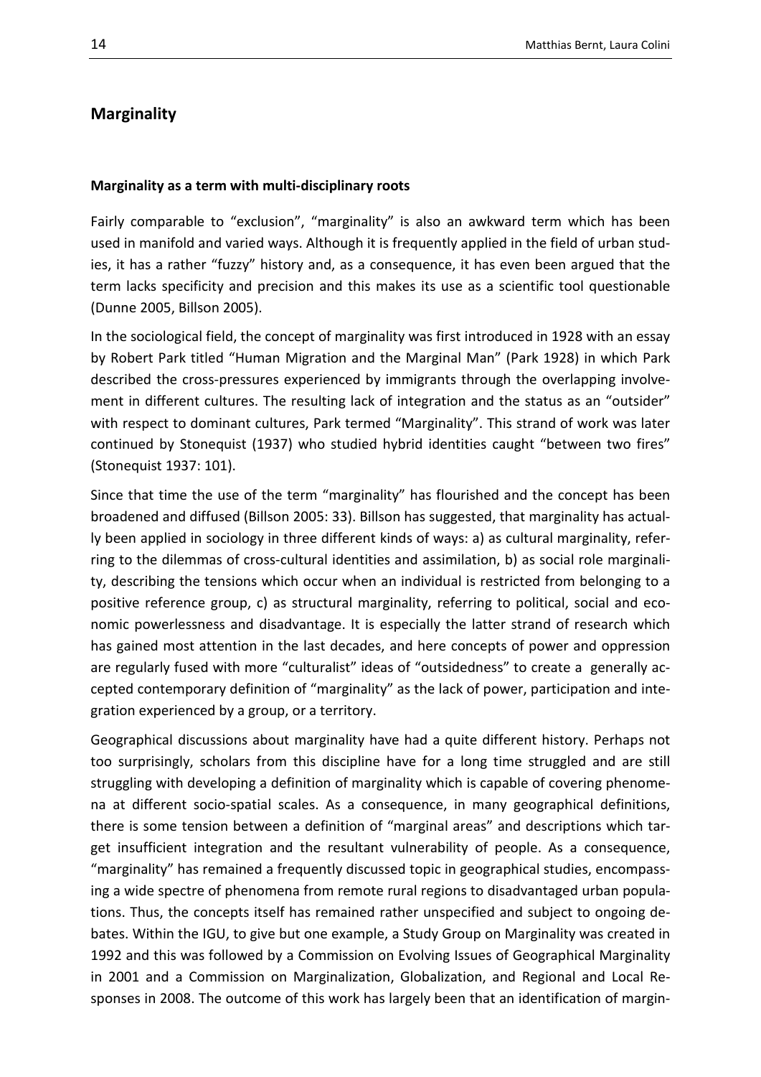#### <span id="page-13-0"></span>**Marginality**

#### <span id="page-13-1"></span>**Marginality as a term with multi-disciplinary roots**

Fairly comparable to "exclusion", "marginality" is also an awkward term which has been used in manifold and varied ways. Although it is frequently applied in the field of urban studies, it has a rather "fuzzy" history and, as a consequence, it has even been argued that the term lacks specificity and precision and this makes its use as a scientific tool questionable (Dunne 2005, Billson 2005).

In the sociological field, the concept of marginality was first introduced in 1928 with an essay by Robert Park titled "Human Migration and the Marginal Man" (Park 1928) in which Park described the cross-pressures experienced by immigrants through the overlapping involvement in different cultures. The resulting lack of integration and the status as an "outsider" with respect to dominant cultures, Park termed "Marginality". This strand of work was later continued by Stonequist (1937) who studied hybrid identities caught "between two fires" (Stonequist 1937: 101).

Since that time the use of the term "marginality" has flourished and the concept has been broadened and diffused (Billson 2005: 33). Billson has suggested, that marginality has actually been applied in sociology in three different kinds of ways: a) as cultural marginality, referring to the dilemmas of cross-cultural identities and assimilation, b) as social role marginality, describing the tensions which occur when an individual is restricted from belonging to a positive reference group, c) as structural marginality, referring to political, social and economic powerlessness and disadvantage. It is especially the latter strand of research which has gained most attention in the last decades, and here concepts of power and oppression are regularly fused with more "culturalist" ideas of "outsidedness" to create a generally accepted contemporary definition of "marginality" as the lack of power, participation and integration experienced by a group, or a territory.

Geographical discussions about marginality have had a quite different history. Perhaps not too surprisingly, scholars from this discipline have for a long time struggled and are still struggling with developing a definition of marginality which is capable of covering phenomena at different socio-spatial scales. As a consequence, in many geographical definitions, there is some tension between a definition of "marginal areas" and descriptions which target insufficient integration and the resultant vulnerability of people. As a consequence, "marginality" has remained a frequently discussed topic in geographical studies, encompassing a wide spectre of phenomena from remote rural regions to disadvantaged urban populations. Thus, the concepts itself has remained rather unspecified and subject to ongoing debates. Within the IGU, to give but one example, a Study Group on Marginality was created in 1992 and this was followed by a Commission on Evolving Issues of Geographical Marginality in 2001 and a Commission on Marginalization, Globalization, and Regional and Local Responses in 2008. The outcome of this work has largely been that an identification of margin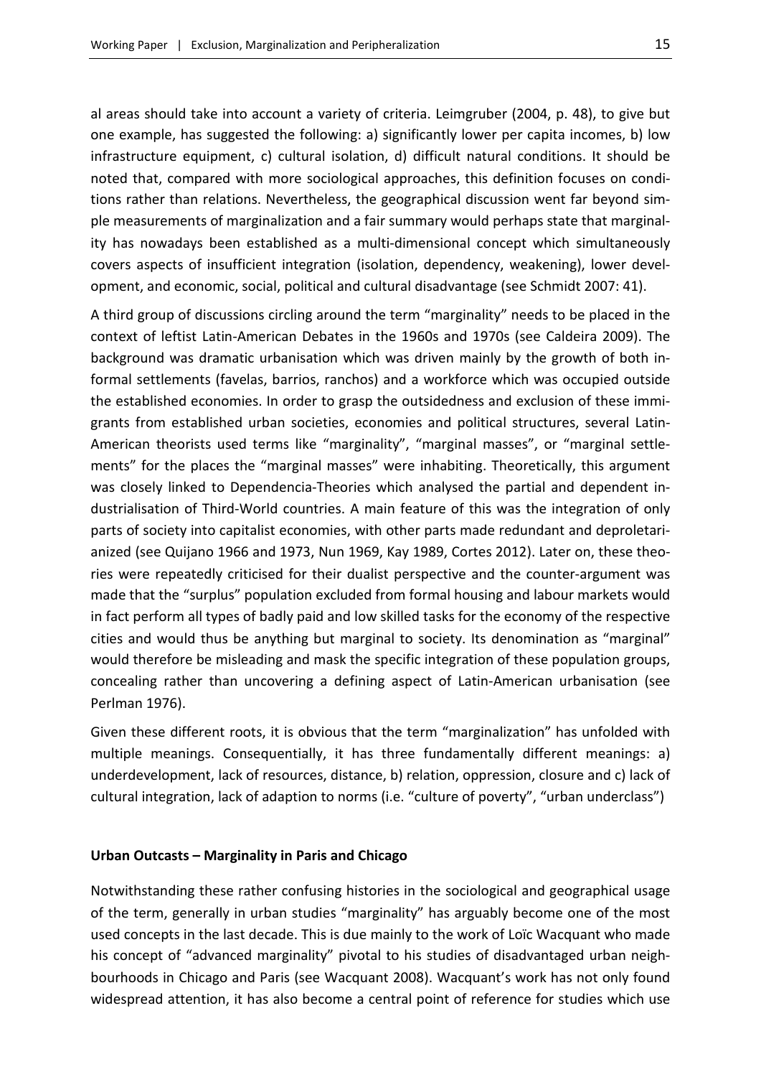al areas should take into account a variety of criteria. Leimgruber (2004, p. 48), to give but one example, has suggested the following: a) significantly lower per capita incomes, b) low infrastructure equipment, c) cultural isolation, d) difficult natural conditions. It should be noted that, compared with more sociological approaches, this definition focuses on conditions rather than relations. Nevertheless, the geographical discussion went far beyond simple measurements of marginalization and a fair summary would perhaps state that marginality has nowadays been established as a multi-dimensional concept which simultaneously covers aspects of insufficient integration (isolation, dependency, weakening), lower development, and economic, social, political and cultural disadvantage (see Schmidt 2007: 41).

A third group of discussions circling around the term "marginality" needs to be placed in the context of leftist Latin-American Debates in the 1960s and 1970s (see Caldeira 2009). The background was dramatic urbanisation which was driven mainly by the growth of both informal settlements (favelas, barrios, ranchos) and a workforce which was occupied outside the established economies. In order to grasp the outsidedness and exclusion of these immigrants from established urban societies, economies and political structures, several Latin-American theorists used terms like "marginality", "marginal masses", or "marginal settlements" for the places the "marginal masses" were inhabiting. Theoretically, this argument was closely linked to Dependencia-Theories which analysed the partial and dependent industrialisation of Third-World countries. A main feature of this was the integration of only parts of society into capitalist economies, with other parts made redundant and deproletarianized (see Quijano 1966 and 1973, Nun 1969, Kay 1989, Cortes 2012). Later on, these theories were repeatedly criticised for their dualist perspective and the counter-argument was made that the "surplus" population excluded from formal housing and labour markets would in fact perform all types of badly paid and low skilled tasks for the economy of the respective cities and would thus be anything but marginal to society. Its denomination as "marginal" would therefore be misleading and mask the specific integration of these population groups, concealing rather than uncovering a defining aspect of Latin-American urbanisation (see Perlman 1976).

Given these different roots, it is obvious that the term "marginalization" has unfolded with multiple meanings. Consequentially, it has three fundamentally different meanings: a) underdevelopment, lack of resources, distance, b) relation, oppression, closure and c) lack of cultural integration, lack of adaption to norms (i.e. "culture of poverty", "urban underclass")

#### <span id="page-14-0"></span>**Urban Outcasts – Marginality in Paris and Chicago**

Notwithstanding these rather confusing histories in the sociological and geographical usage of the term, generally in urban studies "marginality" has arguably become one of the most used concepts in the last decade. This is due mainly to the work of Loïc Wacquant who made his concept of "advanced marginality" pivotal to his studies of disadvantaged urban neighbourhoods in Chicago and Paris (see Wacquant 2008). Wacquant's work has not only found widespread attention, it has also become a central point of reference for studies which use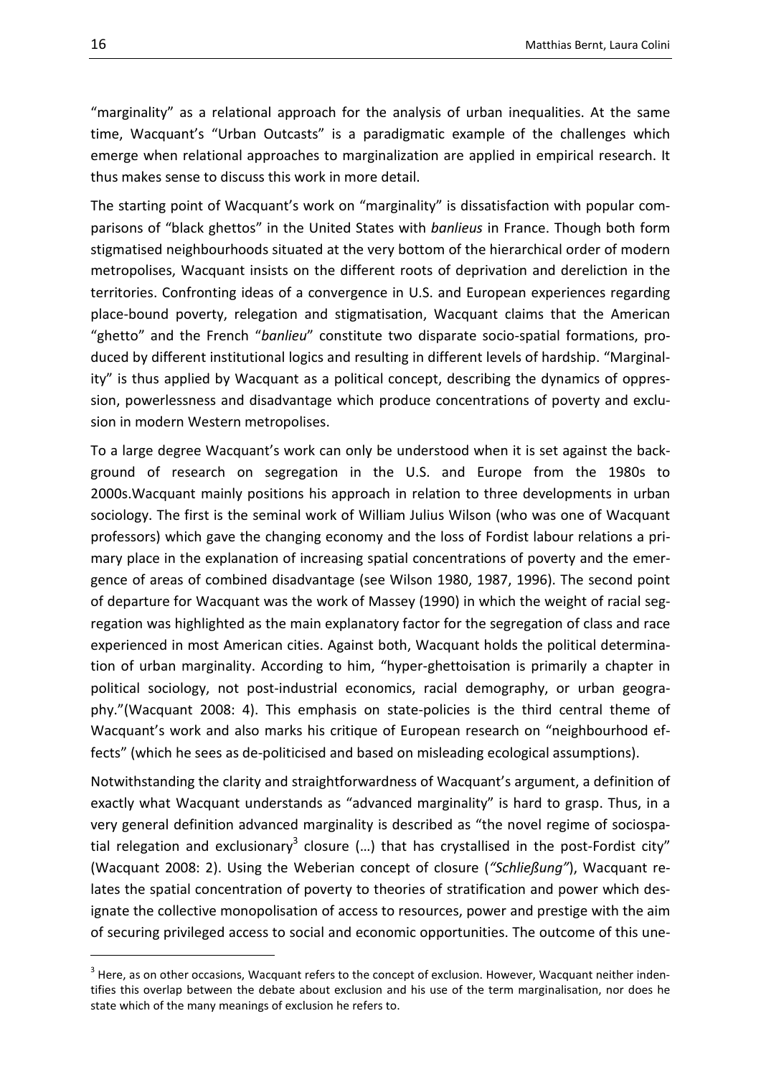"marginality" as a relational approach for the analysis of urban inequalities. At the same time, Wacquant's "Urban Outcasts" is a paradigmatic example of the challenges which emerge when relational approaches to marginalization are applied in empirical research. It thus makes sense to discuss this work in more detail.

The starting point of Wacquant's work on "marginality" is dissatisfaction with popular comparisons of "black ghettos" in the United States with *banlieus* in France. Though both form stigmatised neighbourhoods situated at the very bottom of the hierarchical order of modern metropolises, Wacquant insists on the different roots of deprivation and dereliction in the territories. Confronting ideas of a convergence in U.S. and European experiences regarding place-bound poverty, relegation and stigmatisation, Wacquant claims that the American "ghetto" and the French "*banlieu*" constitute two disparate socio-spatial formations, produced by different institutional logics and resulting in different levels of hardship. "Marginality" is thus applied by Wacquant as a political concept, describing the dynamics of oppression, powerlessness and disadvantage which produce concentrations of poverty and exclusion in modern Western metropolises.

To a large degree Wacquant's work can only be understood when it is set against the background of research on segregation in the U.S. and Europe from the 1980s to 2000s.Wacquant mainly positions his approach in relation to three developments in urban sociology. The first is the seminal work of William Julius Wilson (who was one of Wacquant professors) which gave the changing economy and the loss of Fordist labour relations a primary place in the explanation of increasing spatial concentrations of poverty and the emergence of areas of combined disadvantage (see Wilson 1980, 1987, 1996). The second point of departure for Wacquant was the work of Massey (1990) in which the weight of racial segregation was highlighted as the main explanatory factor for the segregation of class and race experienced in most American cities. Against both, Wacquant holds the political determination of urban marginality. According to him, "hyper-ghettoisation is primarily a chapter in political sociology, not post-industrial economics, racial demography, or urban geography."(Wacquant 2008: 4). This emphasis on state-policies is the third central theme of Wacquant's work and also marks his critique of European research on "neighbourhood effects" (which he sees as de-politicised and based on misleading ecological assumptions).

Notwithstanding the clarity and straightforwardness of Wacquant's argument, a definition of exactly what Wacquant understands as "advanced marginality" is hard to grasp. Thus, in a very general definition advanced marginality is described as "the novel regime of sociospatial relegation and exclusionary<sup>3</sup> closure (...) that has crystallised in the post-Fordist city" (Wacquant 2008: 2). Using the Weberian concept of closure (*"Schließung"*), Wacquant relates the spatial concentration of poverty to theories of stratification and power which designate the collective monopolisation of access to resources, power and prestige with the aim of securing privileged access to social and economic opportunities. The outcome of this une-

 $3$  Here, as on other occasions, Wacquant refers to the concept of exclusion. However, Wacquant neither indentifies this overlap between the debate about exclusion and his use of the term marginalisation, nor does he state which of the many meanings of exclusion he refers to.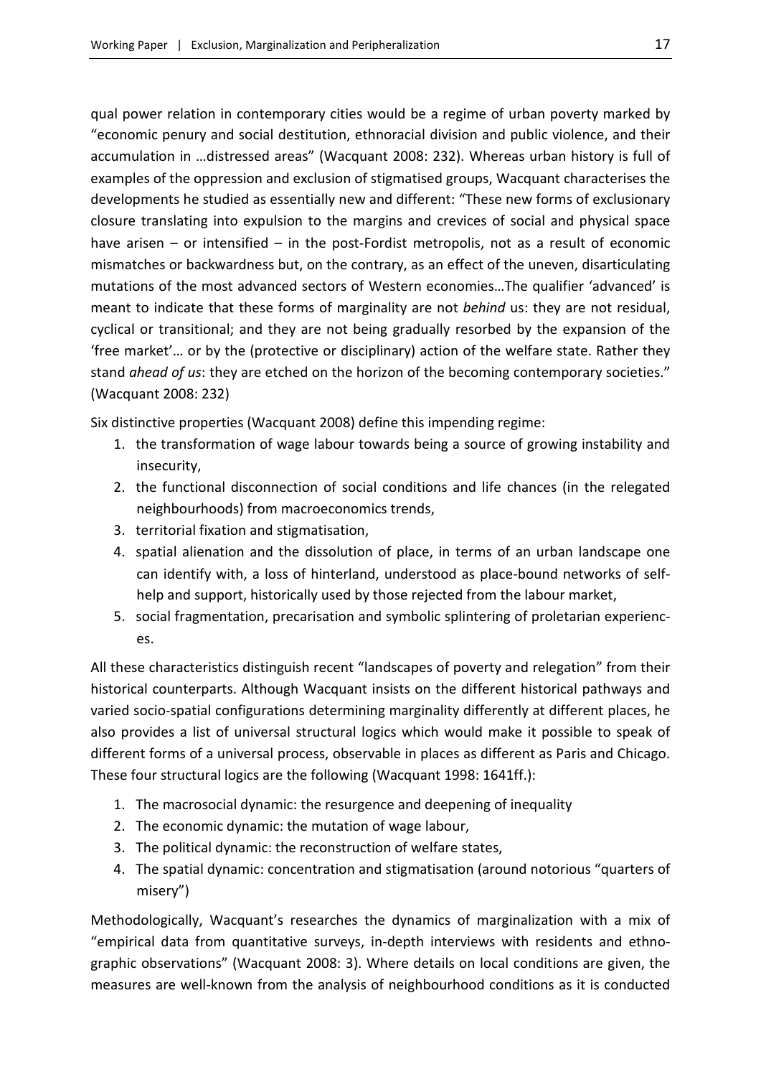qual power relation in contemporary cities would be a regime of urban poverty marked by "economic penury and social destitution, ethnoracial division and public violence, and their accumulation in …distressed areas" (Wacquant 2008: 232). Whereas urban history is full of examples of the oppression and exclusion of stigmatised groups, Wacquant characterises the developments he studied as essentially new and different: "These new forms of exclusionary closure translating into expulsion to the margins and crevices of social and physical space have arisen  $-$  or intensified  $-$  in the post-Fordist metropolis, not as a result of economic mismatches or backwardness but, on the contrary, as an effect of the uneven, disarticulating mutations of the most advanced sectors of Western economies…The qualifier 'advanced' is meant to indicate that these forms of marginality are not *behind* us: they are not residual, cyclical or transitional; and they are not being gradually resorbed by the expansion of the 'free market'… or by the (protective or disciplinary) action of the welfare state. Rather they stand *ahead of us*: they are etched on the horizon of the becoming contemporary societies." (Wacquant 2008: 232)

Six distinctive properties (Wacquant 2008) define this impending regime:

- 1. the transformation of wage labour towards being a source of growing instability and insecurity,
- 2. the functional disconnection of social conditions and life chances (in the relegated neighbourhoods) from macroeconomics trends,
- 3. territorial fixation and stigmatisation,
- 4. spatial alienation and the dissolution of place, in terms of an urban landscape one can identify with, a loss of hinterland, understood as place-bound networks of selfhelp and support, historically used by those rejected from the labour market,
- 5. social fragmentation, precarisation and symbolic splintering of proletarian experiences.

All these characteristics distinguish recent "landscapes of poverty and relegation" from their historical counterparts. Although Wacquant insists on the different historical pathways and varied socio-spatial configurations determining marginality differently at different places, he also provides a list of universal structural logics which would make it possible to speak of different forms of a universal process, observable in places as different as Paris and Chicago. These four structural logics are the following (Wacquant 1998: 1641ff.):

- 1. The macrosocial dynamic: the resurgence and deepening of inequality
- 2. The economic dynamic: the mutation of wage labour,
- 3. The political dynamic: the reconstruction of welfare states,
- 4. The spatial dynamic: concentration and stigmatisation (around notorious "quarters of misery")

Methodologically, Wacquant's researches the dynamics of marginalization with a mix of "empirical data from quantitative surveys, in-depth interviews with residents and ethnographic observations" (Wacquant 2008: 3). Where details on local conditions are given, the measures are well-known from the analysis of neighbourhood conditions as it is conducted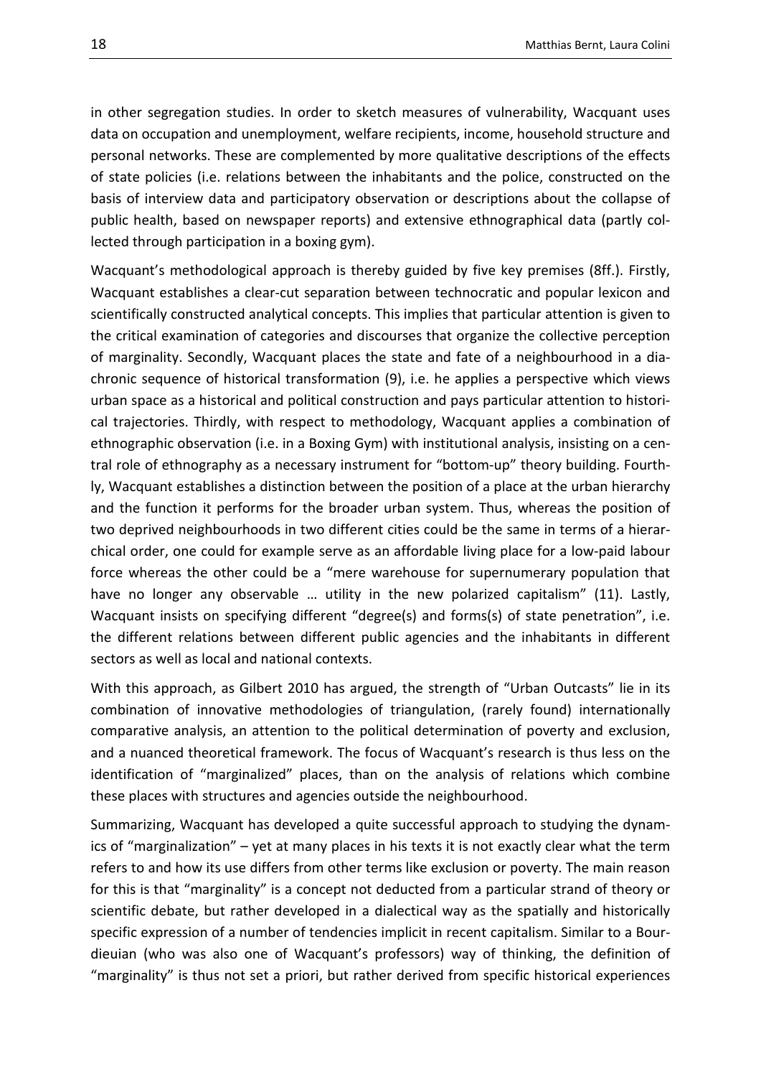in other segregation studies. In order to sketch measures of vulnerability, Wacquant uses data on occupation and unemployment, welfare recipients, income, household structure and personal networks. These are complemented by more qualitative descriptions of the effects of state policies (i.e. relations between the inhabitants and the police, constructed on the basis of interview data and participatory observation or descriptions about the collapse of public health, based on newspaper reports) and extensive ethnographical data (partly collected through participation in a boxing gym).

Wacquant's methodological approach is thereby guided by five key premises (8ff.). Firstly, Wacquant establishes a clear-cut separation between technocratic and popular lexicon and scientifically constructed analytical concepts. This implies that particular attention is given to the critical examination of categories and discourses that organize the collective perception of marginality. Secondly, Wacquant places the state and fate of a neighbourhood in a diachronic sequence of historical transformation (9), i.e. he applies a perspective which views urban space as a historical and political construction and pays particular attention to historical trajectories. Thirdly, with respect to methodology, Wacquant applies a combination of ethnographic observation (i.e. in a Boxing Gym) with institutional analysis, insisting on a central role of ethnography as a necessary instrument for "bottom-up" theory building. Fourthly, Wacquant establishes a distinction between the position of a place at the urban hierarchy and the function it performs for the broader urban system. Thus, whereas the position of two deprived neighbourhoods in two different cities could be the same in terms of a hierarchical order, one could for example serve as an affordable living place for a low-paid labour force whereas the other could be a "mere warehouse for supernumerary population that have no longer any observable ... utility in the new polarized capitalism" (11). Lastly, Wacquant insists on specifying different "degree(s) and forms(s) of state penetration", i.e. the different relations between different public agencies and the inhabitants in different sectors as well as local and national contexts.

With this approach, as Gilbert 2010 has argued, the strength of "Urban Outcasts" lie in its combination of innovative methodologies of triangulation, (rarely found) internationally comparative analysis, an attention to the political determination of poverty and exclusion, and a nuanced theoretical framework. The focus of Wacquant's research is thus less on the identification of "marginalized" places, than on the analysis of relations which combine these places with structures and agencies outside the neighbourhood.

Summarizing, Wacquant has developed a quite successful approach to studying the dynamics of "marginalization" – yet at many places in his texts it is not exactly clear what the term refers to and how its use differs from other terms like exclusion or poverty. The main reason for this is that "marginality" is a concept not deducted from a particular strand of theory or scientific debate, but rather developed in a dialectical way as the spatially and historically specific expression of a number of tendencies implicit in recent capitalism. Similar to a Bourdieuian (who was also one of Wacquant's professors) way of thinking, the definition of "marginality" is thus not set a priori, but rather derived from specific historical experiences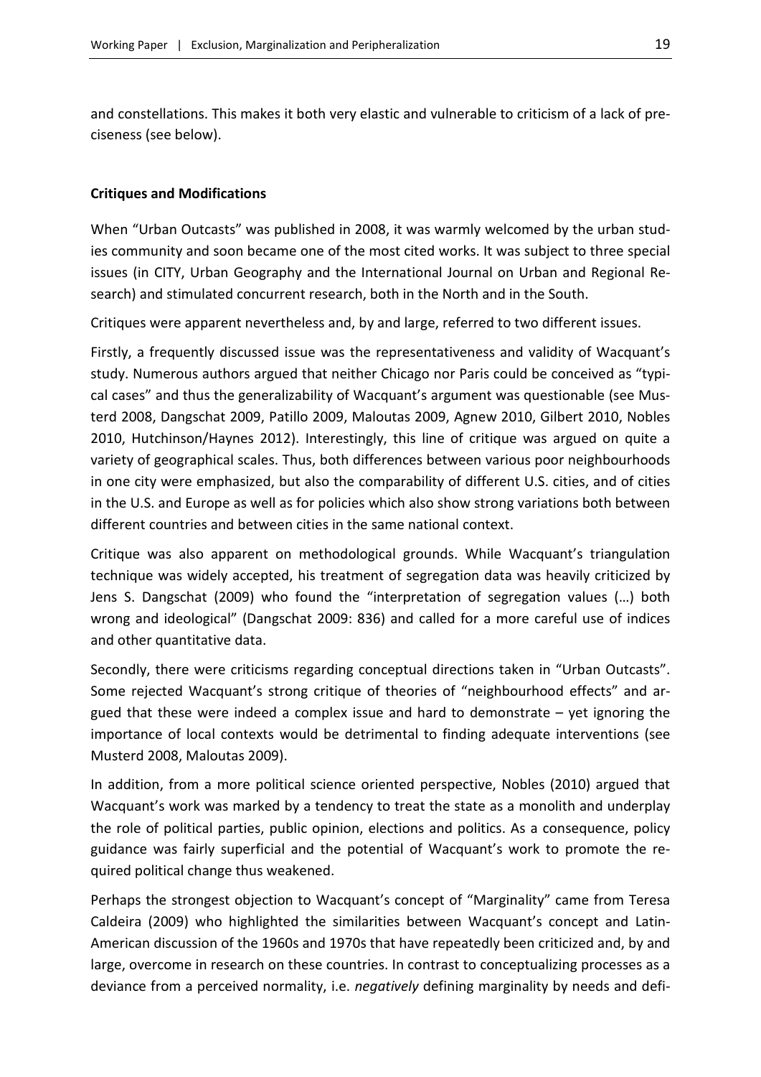and constellations. This makes it both very elastic and vulnerable to criticism of a lack of preciseness (see below).

#### <span id="page-18-0"></span>**Critiques and Modifications**

When "Urban Outcasts" was published in 2008, it was warmly welcomed by the urban studies community and soon became one of the most cited works. It was subject to three special issues (in CITY, Urban Geography and the International Journal on Urban and Regional Research) and stimulated concurrent research, both in the North and in the South.

Critiques were apparent nevertheless and, by and large, referred to two different issues.

Firstly, a frequently discussed issue was the representativeness and validity of Wacquant's study. Numerous authors argued that neither Chicago nor Paris could be conceived as "typical cases" and thus the generalizability of Wacquant's argument was questionable (see Musterd 2008, Dangschat 2009, Patillo 2009, Maloutas 2009, Agnew 2010, Gilbert 2010, Nobles 2010, Hutchinson/Haynes 2012). Interestingly, this line of critique was argued on quite a variety of geographical scales. Thus, both differences between various poor neighbourhoods in one city were emphasized, but also the comparability of different U.S. cities, and of cities in the U.S. and Europe as well as for policies which also show strong variations both between different countries and between cities in the same national context.

Critique was also apparent on methodological grounds. While Wacquant's triangulation technique was widely accepted, his treatment of segregation data was heavily criticized by Jens S. Dangschat (2009) who found the "interpretation of segregation values (…) both wrong and ideological" (Dangschat 2009: 836) and called for a more careful use of indices and other quantitative data.

Secondly, there were criticisms regarding conceptual directions taken in "Urban Outcasts". Some rejected Wacquant's strong critique of theories of "neighbourhood effects" and argued that these were indeed a complex issue and hard to demonstrate – yet ignoring the importance of local contexts would be detrimental to finding adequate interventions (see Musterd 2008, Maloutas 2009).

In addition, from a more political science oriented perspective, Nobles (2010) argued that Wacquant's work was marked by a tendency to treat the state as a monolith and underplay the role of political parties, public opinion, elections and politics. As a consequence, policy guidance was fairly superficial and the potential of Wacquant's work to promote the required political change thus weakened.

Perhaps the strongest objection to Wacquant's concept of "Marginality" came from Teresa Caldeira (2009) who highlighted the similarities between Wacquant's concept and Latin-American discussion of the 1960s and 1970s that have repeatedly been criticized and, by and large, overcome in research on these countries. In contrast to conceptualizing processes as a deviance from a perceived normality, i.e. *negatively* defining marginality by needs and defi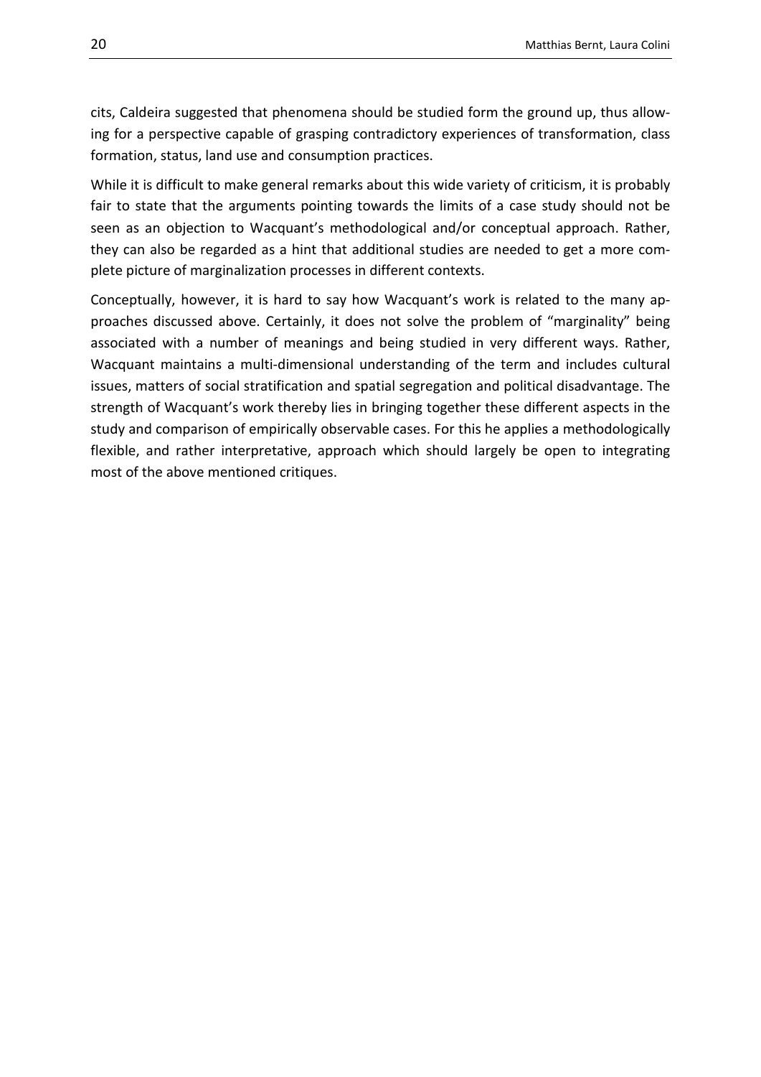cits, Caldeira suggested that phenomena should be studied form the ground up, thus allowing for a perspective capable of grasping contradictory experiences of transformation, class formation, status, land use and consumption practices.

While it is difficult to make general remarks about this wide variety of criticism, it is probably fair to state that the arguments pointing towards the limits of a case study should not be seen as an objection to Wacquant's methodological and/or conceptual approach. Rather, they can also be regarded as a hint that additional studies are needed to get a more complete picture of marginalization processes in different contexts.

Conceptually, however, it is hard to say how Wacquant's work is related to the many approaches discussed above. Certainly, it does not solve the problem of "marginality" being associated with a number of meanings and being studied in very different ways. Rather, Wacquant maintains a multi-dimensional understanding of the term and includes cultural issues, matters of social stratification and spatial segregation and political disadvantage. The strength of Wacquant's work thereby lies in bringing together these different aspects in the study and comparison of empirically observable cases. For this he applies a methodologically flexible, and rather interpretative, approach which should largely be open to integrating most of the above mentioned critiques.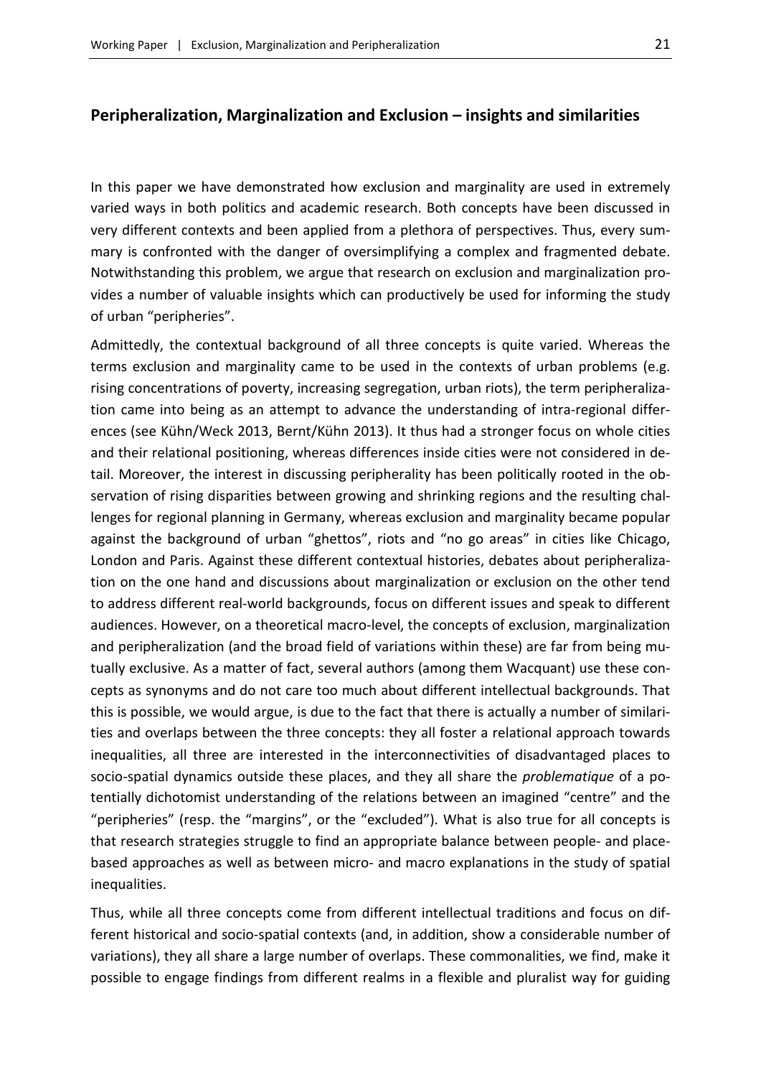#### <span id="page-20-0"></span>**Peripheralization, Marginalization and Exclusion – insights and similarities**

In this paper we have demonstrated how exclusion and marginality are used in extremely varied ways in both politics and academic research. Both concepts have been discussed in very different contexts and been applied from a plethora of perspectives. Thus, every summary is confronted with the danger of oversimplifying a complex and fragmented debate. Notwithstanding this problem, we argue that research on exclusion and marginalization provides a number of valuable insights which can productively be used for informing the study of urban "peripheries".

Admittedly, the contextual background of all three concepts is quite varied. Whereas the terms exclusion and marginality came to be used in the contexts of urban problems (e.g. rising concentrations of poverty, increasing segregation, urban riots), the term peripheralization came into being as an attempt to advance the understanding of intra-regional differences (see Kühn/Weck 2013, Bernt/Kühn 2013). It thus had a stronger focus on whole cities and their relational positioning, whereas differences inside cities were not considered in detail. Moreover, the interest in discussing peripherality has been politically rooted in the observation of rising disparities between growing and shrinking regions and the resulting challenges for regional planning in Germany, whereas exclusion and marginality became popular against the background of urban "ghettos", riots and "no go areas" in cities like Chicago, London and Paris. Against these different contextual histories, debates about peripheralization on the one hand and discussions about marginalization or exclusion on the other tend to address different real-world backgrounds, focus on different issues and speak to different audiences. However, on a theoretical macro-level, the concepts of exclusion, marginalization and peripheralization (and the broad field of variations within these) are far from being mutually exclusive. As a matter of fact, several authors (among them Wacquant) use these concepts as synonyms and do not care too much about different intellectual backgrounds. That this is possible, we would argue, is due to the fact that there is actually a number of similarities and overlaps between the three concepts: they all foster a relational approach towards inequalities, all three are interested in the interconnectivities of disadvantaged places to socio-spatial dynamics outside these places, and they all share the *problematique* of a potentially dichotomist understanding of the relations between an imagined "centre" and the "peripheries" (resp. the "margins", or the "excluded"). What is also true for all concepts is that research strategies struggle to find an appropriate balance between people- and placebased approaches as well as between micro- and macro explanations in the study of spatial inequalities.

Thus, while all three concepts come from different intellectual traditions and focus on different historical and socio-spatial contexts (and, in addition, show a considerable number of variations), they all share a large number of overlaps. These commonalities, we find, make it possible to engage findings from different realms in a flexible and pluralist way for guiding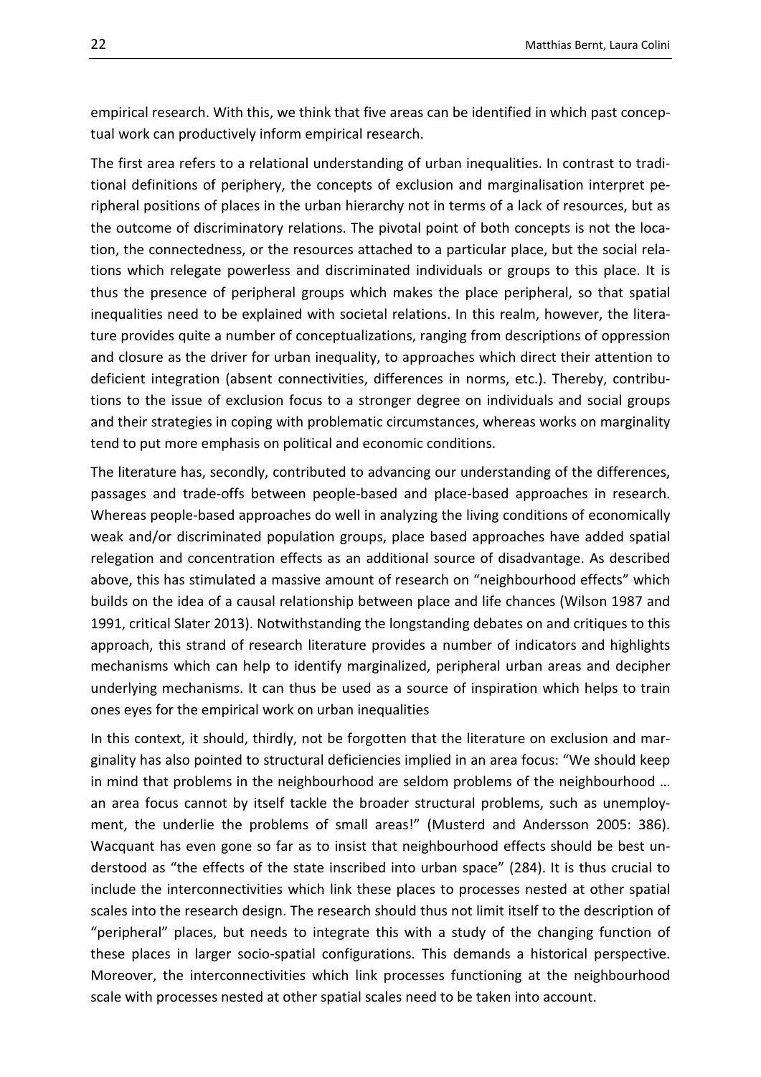empirical research. With this, we think that five areas can be identified in which past conceptual work can productively inform empirical research.

The first area refers to a relational understanding of urban inequalities. In contrast to traditional definitions of periphery, the concepts of exclusion and marginalisation interpret peripheral positions of places in the urban hierarchy not in terms of a lack of resources, but as the outcome of discriminatory relations. The pivotal point of both concepts is not the location, the connectedness, or the resources attached to a particular place, but the social relations which relegate powerless and discriminated individuals or groups to this place. It is thus the presence of peripheral groups which makes the place peripheral, so that spatial inequalities need to be explained with societal relations. In this realm, however, the literature provides quite a number of conceptualizations, ranging from descriptions of oppression and closure as the driver for urban inequality, to approaches which direct their attention to deficient integration (absent connectivities, differences in norms, etc.). Thereby, contributions to the issue of exclusion focus to a stronger degree on individuals and social groups and their strategies in coping with problematic circumstances, whereas works on marginality tend to put more emphasis on political and economic conditions.

The literature has, secondly, contributed to advancing our understanding of the differences, passages and trade-offs between people-based and place-based approaches in research. Whereas people-based approaches do well in analyzing the living conditions of economically weak and/or discriminated population groups, place based approaches have added spatial relegation and concentration effects as an additional source of disadvantage. As described above, this has stimulated a massive amount of research on "neighbourhood effects" which builds on the idea of a causal relationship between place and life chances (Wilson 1987 and 1991, critical Slater 2013). Notwithstanding the longstanding debates on and critiques to this approach, this strand of research literature provides a number of indicators and highlights mechanisms which can help to identify marginalized, peripheral urban areas and decipher underlying mechanisms. It can thus be used as a source of inspiration which helps to train ones eyes for the empirical work on urban inequalities

In this context, it should, thirdly, not be forgotten that the literature on exclusion and marginality has also pointed to structural deficiencies implied in an area focus: "We should keep in mind that problems in the neighbourhood are seldom problems of the neighbourhood … an area focus cannot by itself tackle the broader structural problems, such as unemployment, the underlie the problems of small areas!" (Musterd and Andersson 2005: 386). Wacquant has even gone so far as to insist that neighbourhood effects should be best understood as "the effects of the state inscribed into urban space" (284). It is thus crucial to include the interconnectivities which link these places to processes nested at other spatial scales into the research design. The research should thus not limit itself to the description of "peripheral" places, but needs to integrate this with a study of the changing function of these places in larger socio-spatial configurations. This demands a historical perspective. Moreover, the interconnectivities which link processes functioning at the neighbourhood scale with processes nested at other spatial scales need to be taken into account.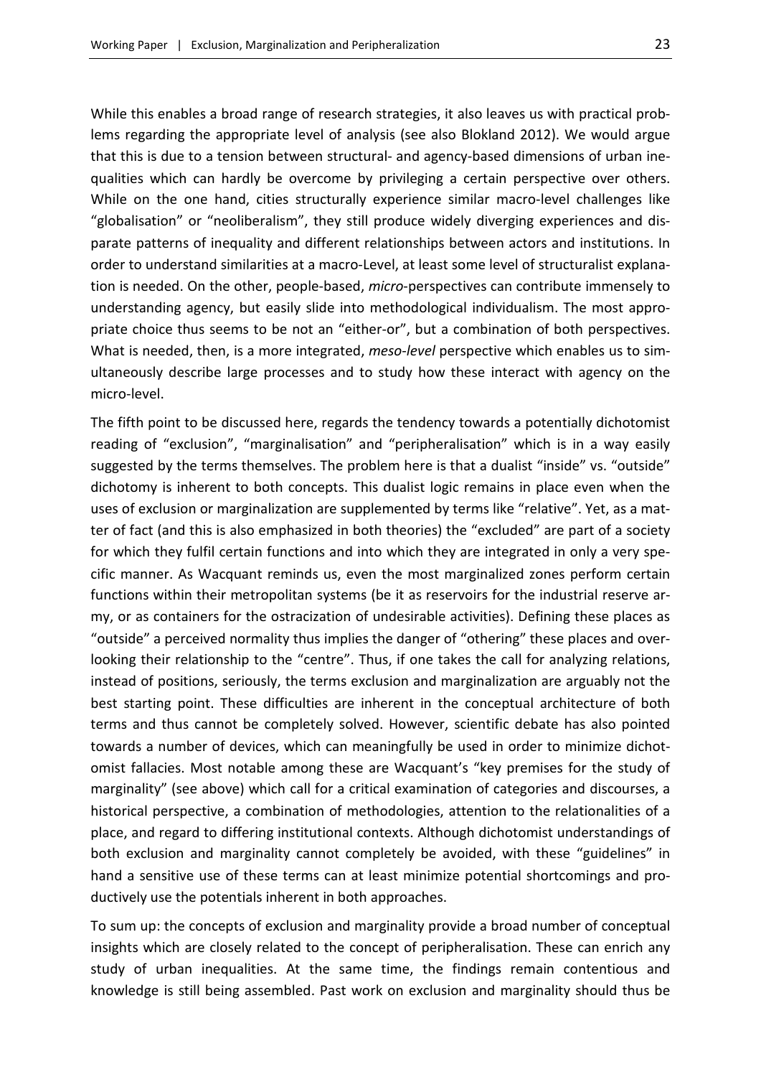While this enables a broad range of research strategies, it also leaves us with practical problems regarding the appropriate level of analysis (see also Blokland 2012). We would argue that this is due to a tension between structural- and agency-based dimensions of urban inequalities which can hardly be overcome by privileging a certain perspective over others. While on the one hand, cities structurally experience similar macro-level challenges like "globalisation" or "neoliberalism", they still produce widely diverging experiences and disparate patterns of inequality and different relationships between actors and institutions. In order to understand similarities at a macro-Level, at least some level of structuralist explanation is needed. On the other, people-based, *micro*-perspectives can contribute immensely to understanding agency, but easily slide into methodological individualism. The most appropriate choice thus seems to be not an "either-or", but a combination of both perspectives. What is needed, then, is a more integrated, *meso*-*level* perspective which enables us to simultaneously describe large processes and to study how these interact with agency on the micro-level.

The fifth point to be discussed here, regards the tendency towards a potentially dichotomist reading of "exclusion", "marginalisation" and "peripheralisation" which is in a way easily suggested by the terms themselves. The problem here is that a dualist "inside" vs. "outside" dichotomy is inherent to both concepts. This dualist logic remains in place even when the uses of exclusion or marginalization are supplemented by terms like "relative". Yet, as a matter of fact (and this is also emphasized in both theories) the "excluded" are part of a society for which they fulfil certain functions and into which they are integrated in only a very specific manner. As Wacquant reminds us, even the most marginalized zones perform certain functions within their metropolitan systems (be it as reservoirs for the industrial reserve army, or as containers for the ostracization of undesirable activities). Defining these places as "outside" a perceived normality thus implies the danger of "othering" these places and overlooking their relationship to the "centre". Thus, if one takes the call for analyzing relations, instead of positions, seriously, the terms exclusion and marginalization are arguably not the best starting point. These difficulties are inherent in the conceptual architecture of both terms and thus cannot be completely solved. However, scientific debate has also pointed towards a number of devices, which can meaningfully be used in order to minimize dichotomist fallacies. Most notable among these are Wacquant's "key premises for the study of marginality" (see above) which call for a critical examination of categories and discourses, a historical perspective, a combination of methodologies, attention to the relationalities of a place, and regard to differing institutional contexts. Although dichotomist understandings of both exclusion and marginality cannot completely be avoided, with these "guidelines" in hand a sensitive use of these terms can at least minimize potential shortcomings and productively use the potentials inherent in both approaches.

To sum up: the concepts of exclusion and marginality provide a broad number of conceptual insights which are closely related to the concept of peripheralisation. These can enrich any study of urban inequalities. At the same time, the findings remain contentious and knowledge is still being assembled. Past work on exclusion and marginality should thus be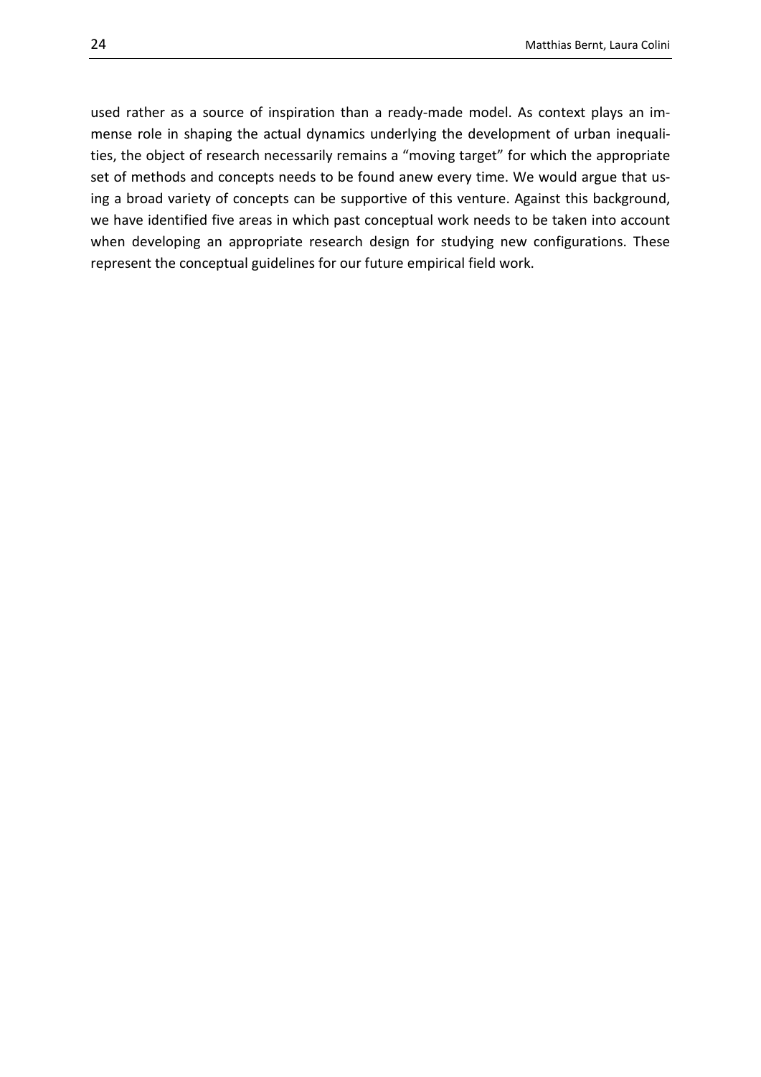used rather as a source of inspiration than a ready-made model. As context plays an immense role in shaping the actual dynamics underlying the development of urban inequalities, the object of research necessarily remains a "moving target" for which the appropriate set of methods and concepts needs to be found anew every time. We would argue that using a broad variety of concepts can be supportive of this venture. Against this background, we have identified five areas in which past conceptual work needs to be taken into account when developing an appropriate research design for studying new configurations. These represent the conceptual guidelines for our future empirical field work.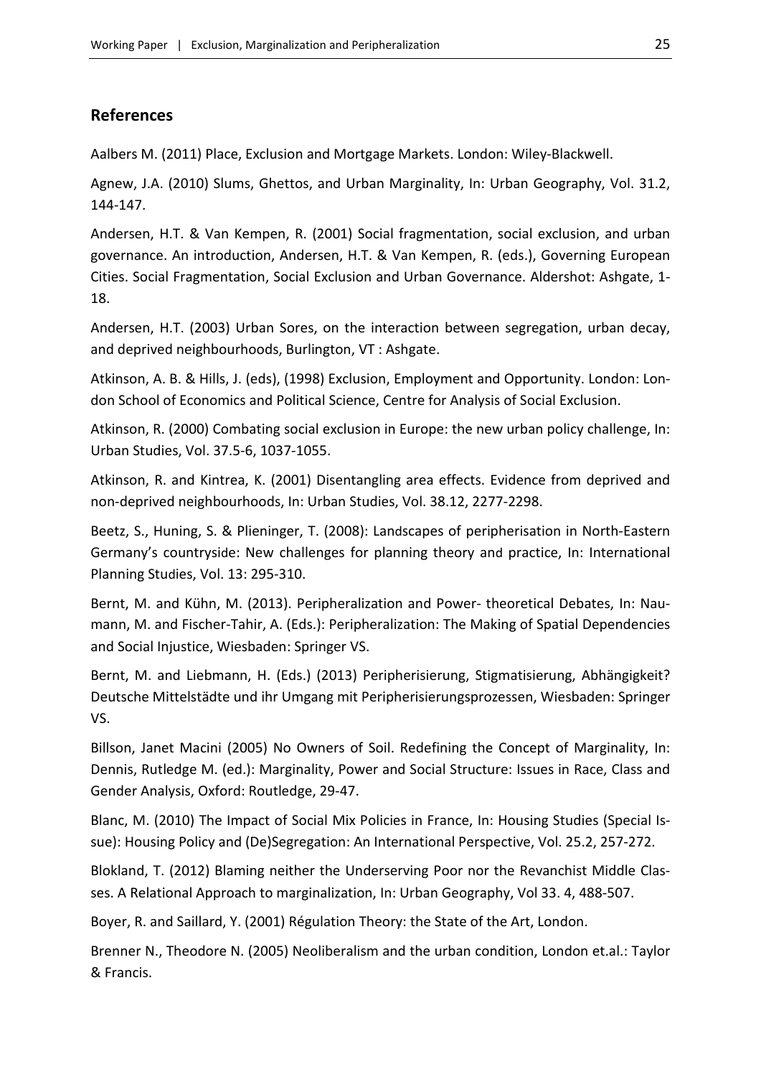#### <span id="page-24-0"></span>**References**

Aalbers M. (2011) Place, Exclusion and Mortgage Markets. London: Wiley-Blackwell.

Agnew, J.A. (2010) Slums, Ghettos, and Urban Marginality, In: Urban Geography, Vol. 31.2, 144-147.

Andersen, H.T. & Van Kempen, R. (2001) Social fragmentation, social exclusion, and urban governance. An introduction, Andersen, H.T. & Van Kempen, R. (eds.), Governing European Cities. Social Fragmentation, Social Exclusion and Urban Governance. Aldershot: Ashgate, 1- 18.

Andersen, H.T. (2003) Urban Sores, on the interaction between segregation, urban decay, and deprived neighbourhoods, Burlington, VT : Ashgate.

Atkinson, A. B. & Hills, J. (eds), (1998) Exclusion, Employment and Opportunity. London: London School of Economics and Political Science, Centre for Analysis of Social Exclusion.

Atkinson, R. (2000) Combating social exclusion in Europe: the new urban policy challenge, In: Urban Studies, Vol. 37.5-6, 1037-1055.

Atkinson, R. and Kintrea, K. (2001) Disentangling area effects. Evidence from deprived and non-deprived neighbourhoods, In: Urban Studies, Vol. 38.12, 2277-2298.

Beetz, S., Huning, S. & Plieninger, T. (2008): Landscapes of peripherisation in North-Eastern Germany's countryside: New challenges for planning theory and practice, In: International Planning Studies, Vol. 13: 295-310.

Bernt, M. and Kühn, M. (2013). Peripheralization and Power- theoretical Debates, In: Naumann, M. and Fischer-Tahir, A. (Eds.): Peripheralization: The Making of Spatial Dependencies and Social Injustice, Wiesbaden: Springer VS.

Bernt, M. and Liebmann, H. (Eds.) (2013) Peripherisierung, Stigmatisierung, Abhängigkeit? Deutsche Mittelstädte und ihr Umgang mit Peripherisierungsprozessen, Wiesbaden: Springer VS.

Billson, Janet Macini (2005) No Owners of Soil. Redefining the Concept of Marginality, In: Dennis, Rutledge M. (ed.): Marginality, Power and Social Structure: Issues in Race, Class and Gender Analysis, Oxford: Routledge, 29-47.

Blanc, M. (2010) The Impact of Social Mix Policies in France, In: Housing Studies (Special Issue): Housing Policy and (De)Segregation: An International Perspective, Vol. 25.2, 257-272.

Blokland, T. (2012) Blaming neither the Underserving Poor nor the Revanchist Middle Classes. A Relational Approach to marginalization, In: Urban Geography, Vol 33. 4, 488-507.

Boyer, R. and Saillard, Y. (2001) Régulation Theory: the State of the Art, London.

Brenner N., Theodore N. (2005) Neoliberalism and the urban condition, London et.al.: Taylor & Francis.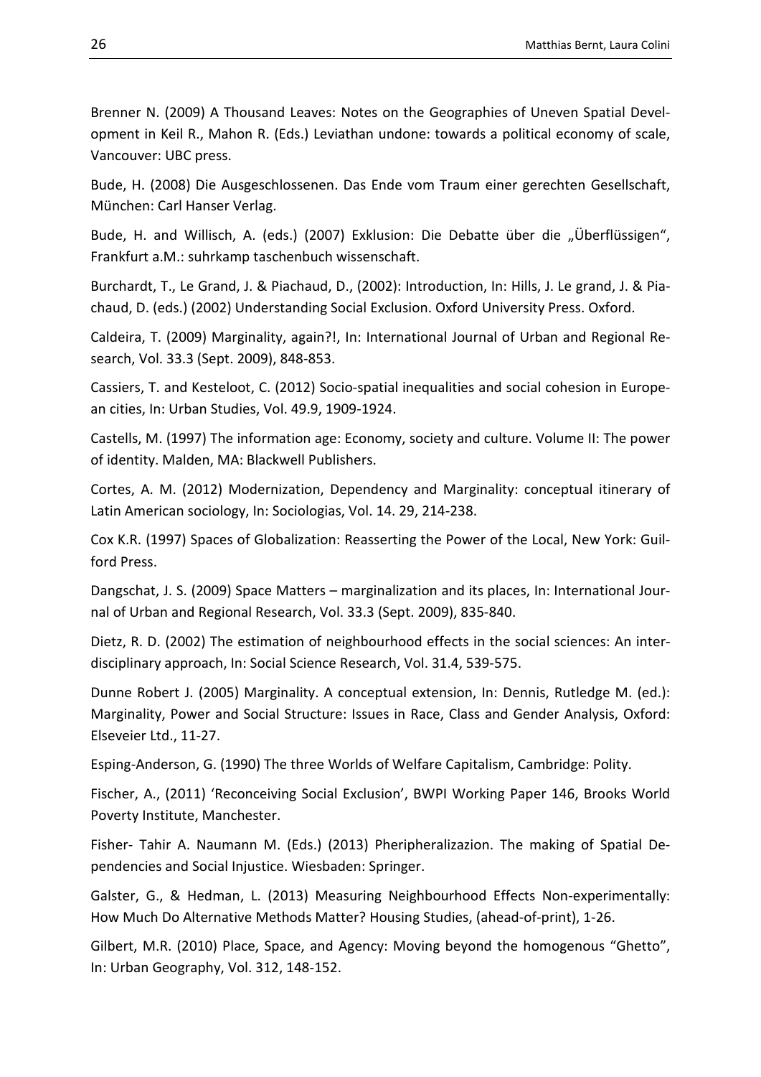Brenner N. (2009) A Thousand Leaves: Notes on the Geographies of Uneven Spatial Development in Keil R., Mahon R. (Eds.) Leviathan undone: towards a political economy of scale, Vancouver: UBC press.

Bude, H. (2008) Die Ausgeschlossenen. Das Ende vom Traum einer gerechten Gesellschaft, München: Carl Hanser Verlag.

Bude, H. and Willisch, A. (eds.) (2007) Exklusion: Die Debatte über die "Überflüssigen", Frankfurt a.M.: suhrkamp taschenbuch wissenschaft.

Burchardt, T., Le Grand, J. & Piachaud, D., (2002): Introduction, In: Hills, J. Le grand, J. & Piachaud, D. (eds.) (2002) Understanding Social Exclusion. Oxford University Press. Oxford.

Caldeira, T. (2009) Marginality, again?!, In: International Journal of Urban and Regional Research, Vol. 33.3 (Sept. 2009), 848-853.

Cassiers, T. and Kesteloot, C. (2012) Socio-spatial inequalities and social cohesion in European cities, In: Urban Studies, Vol. 49.9, 1909-1924.

Castells, M. (1997) The information age: Economy, society and culture. Volume II: The power of identity. Malden, MA: Blackwell Publishers.

Cortes, A. M. (2012) Modernization, Dependency and Marginality: conceptual itinerary of Latin American sociology, In: Sociologias, Vol. 14. 29, 214-238.

Cox K.R. (1997) Spaces of Globalization: Reasserting the Power of the Local, New York: Guilford Press.

Dangschat, J. S. (2009) Space Matters – marginalization and its places, In: International Journal of Urban and Regional Research, Vol. 33.3 (Sept. 2009), 835-840.

Dietz, R. D. (2002) The estimation of neighbourhood effects in the social sciences: An interdisciplinary approach, In: Social Science Research, Vol. 31.4, 539-575.

Dunne Robert J. (2005) Marginality. A conceptual extension, In: Dennis, Rutledge M. (ed.): Marginality, Power and Social Structure: Issues in Race, Class and Gender Analysis, Oxford: Elseveier Ltd., 11-27.

Esping-Anderson, G. (1990) The three Worlds of Welfare Capitalism, Cambridge: Polity.

Fischer, A., (2011) 'Reconceiving Social Exclusion', BWPI Working Paper 146, Brooks World Poverty Institute, Manchester.

Fisher- Tahir A. Naumann M. (Eds.) (2013) Pheripheralizazion. The making of Spatial Dependencies and Social Injustice. Wiesbaden: Springer.

Galster, G., & Hedman, L. (2013) Measuring Neighbourhood Effects Non-experimentally: How Much Do Alternative Methods Matter? Housing Studies, (ahead-of-print), 1-26.

Gilbert, M.R. (2010) Place, Space, and Agency: Moving beyond the homogenous "Ghetto", In: Urban Geography, Vol. 312, 148-152.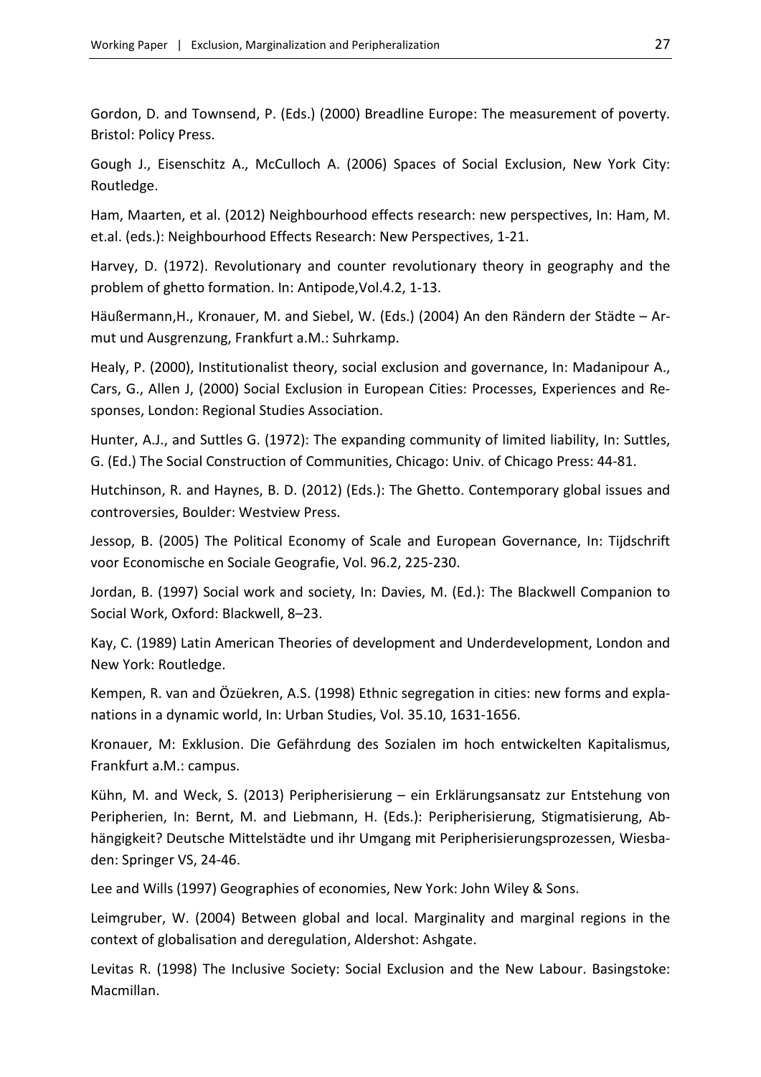Gordon, D. and Townsend, P. (Eds.) (2000) Breadline Europe: The measurement of poverty. Bristol: Policy Press.

Gough J., Eisenschitz A., McCulloch A. (2006) Spaces of Social Exclusion, New York City: Routledge.

Ham, Maarten, et al. (2012) Neighbourhood effects research: new perspectives, In: Ham, M. et.al. (eds.): Neighbourhood Effects Research: New Perspectives, 1-21.

Harvey, D. (1972). Revolutionary and counter revolutionary theory in geography and the problem of ghetto formation. In: Antipode,Vol.4.2, 1-13.

Häußermann,H., Kronauer, M. and Siebel, W. (Eds.) (2004) An den Rändern der Städte – Armut und Ausgrenzung, Frankfurt a.M.: Suhrkamp.

Healy, P. (2000), Institutionalist theory, social exclusion and governance, In: Madanipour A., Cars, G., Allen J, (2000) Social Exclusion in European Cities: Processes, Experiences and Responses, London: Regional Studies Association.

Hunter, A.J., and Suttles G. (1972): The expanding community of limited liability, In: Suttles, G. (Ed.) The Social Construction of Communities, Chicago: Univ. of Chicago Press: 44-81.

Hutchinson, R. and Haynes, B. D. (2012) (Eds.): The Ghetto. Contemporary global issues and controversies, Boulder: Westview Press.

Jessop, B. (2005) The Political Economy of Scale and European Governance, In: Tijdschrift voor Economische en Sociale Geografie, Vol. 96.2, 225-230.

Jordan, B. (1997) Social work and society, In: Davies, M. (Ed.): The Blackwell Companion to Social Work, Oxford: Blackwell, 8–23.

Kay, C. (1989) Latin American Theories of development and Underdevelopment, London and New York: Routledge.

Kempen, R. van and Özüekren, A.S. (1998) Ethnic segregation in cities: new forms and explanations in a dynamic world, In: Urban Studies, Vol. 35.10, 1631-1656.

Kronauer, M: Exklusion. Die Gefährdung des Sozialen im hoch entwickelten Kapitalismus, Frankfurt a.M.: campus.

Kühn, M. and Weck, S. (2013) Peripherisierung – ein Erklärungsansatz zur Entstehung von Peripherien, In: Bernt, M. and Liebmann, H. (Eds.): Peripherisierung, Stigmatisierung, Abhängigkeit? Deutsche Mittelstädte und ihr Umgang mit Peripherisierungsprozessen, Wiesbaden: Springer VS, 24-46.

Lee and Wills (1997) Geographies of economies, New York: John Wiley & Sons.

Leimgruber, W. (2004) Between global and local. Marginality and marginal regions in the context of globalisation and deregulation, Aldershot: Ashgate.

Levitas R. (1998) The Inclusive Society: Social Exclusion and the New Labour. Basingstoke: Macmillan.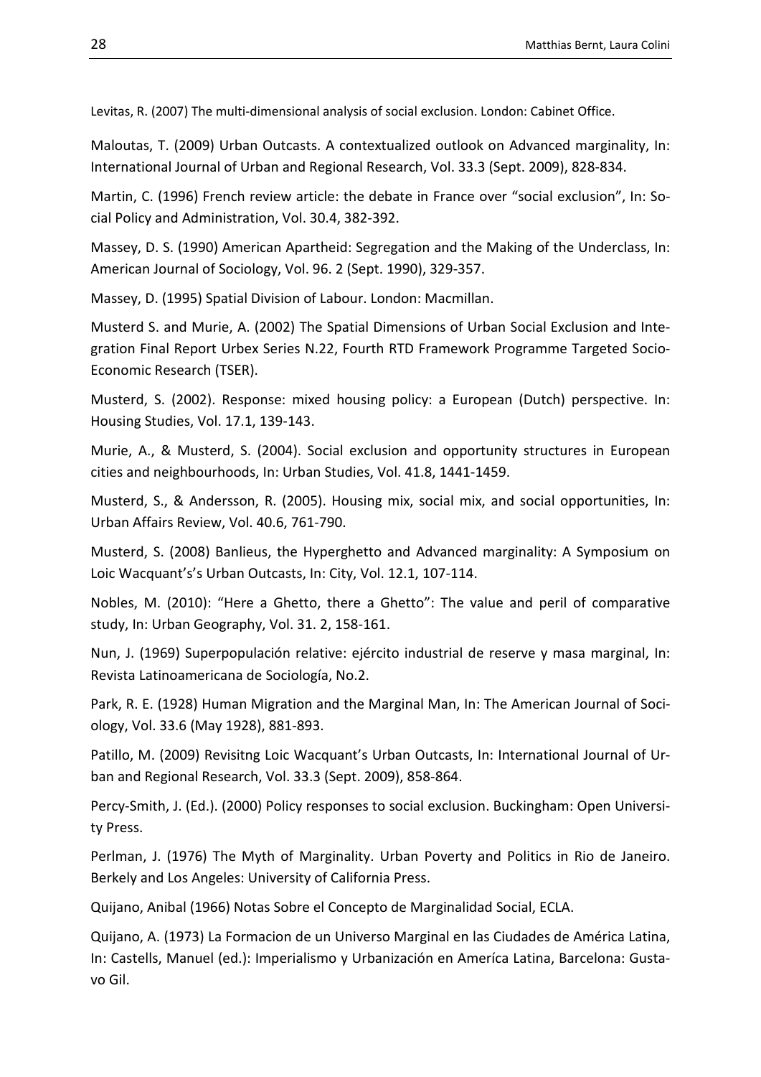Levitas, R. (2007) The multi-dimensional analysis of social exclusion. London: Cabinet Office.

Maloutas, T. (2009) Urban Outcasts. A contextualized outlook on Advanced marginality, In: International Journal of Urban and Regional Research, Vol. 33.3 (Sept. 2009), 828-834.

Martin, C. (1996) French review article: the debate in France over "social exclusion", In: Social Policy and Administration, Vol. 30.4, 382-392.

Massey, D. S. (1990) American Apartheid: Segregation and the Making of the Underclass, In: American Journal of Sociology, Vol. 96. 2 (Sept. 1990), 329-357.

Massey, D. (1995) Spatial Division of Labour. London: Macmillan.

Musterd S. and Murie, A. (2002) The Spatial Dimensions of Urban Social Exclusion and Integration Final Report Urbex Series N.22, Fourth RTD Framework Programme Targeted Socio-Economic Research (TSER).

Musterd, S. (2002). Response: mixed housing policy: a European (Dutch) perspective. In: Housing Studies, Vol. 17.1, 139-143.

Murie, A., & Musterd, S. (2004). Social exclusion and opportunity structures in European cities and neighbourhoods, In: Urban Studies, Vol. 41.8, 1441-1459.

Musterd, S., & Andersson, R. (2005). Housing mix, social mix, and social opportunities, In: Urban Affairs Review, Vol. 40.6, 761-790.

Musterd, S. (2008) Banlieus, the Hyperghetto and Advanced marginality: A Symposium on Loic Wacquant's's Urban Outcasts, In: City, Vol. 12.1, 107-114.

Nobles, M. (2010): "Here a Ghetto, there a Ghetto": The value and peril of comparative study, In: Urban Geography, Vol. 31. 2, 158-161.

Nun, J. (1969) Superpopulación relative: ejército industrial de reserve y masa marginal, In: Revista Latinoamericana de Sociología, No.2.

Park, R. E. (1928) Human Migration and the Marginal Man, In: The American Journal of Sociology, Vol. 33.6 (May 1928), 881-893.

Patillo, M. (2009) Revisitng Loic Wacquant's Urban Outcasts, In: International Journal of Urban and Regional Research, Vol. 33.3 (Sept. 2009), 858-864.

Percy-Smith, J. (Ed.). (2000) Policy responses to social exclusion. Buckingham: Open University Press.

Perlman, J. (1976) The Myth of Marginality. Urban Poverty and Politics in Rio de Janeiro. Berkely and Los Angeles: University of California Press.

Quijano, Anibal (1966) Notas Sobre el Concepto de Marginalidad Social, ECLA.

Quijano, A. (1973) La Formacion de un Universo Marginal en las Ciudades de América Latina, In: Castells, Manuel (ed.): Imperialismo y Urbanización en Ameríca Latina, Barcelona: Gustavo Gil.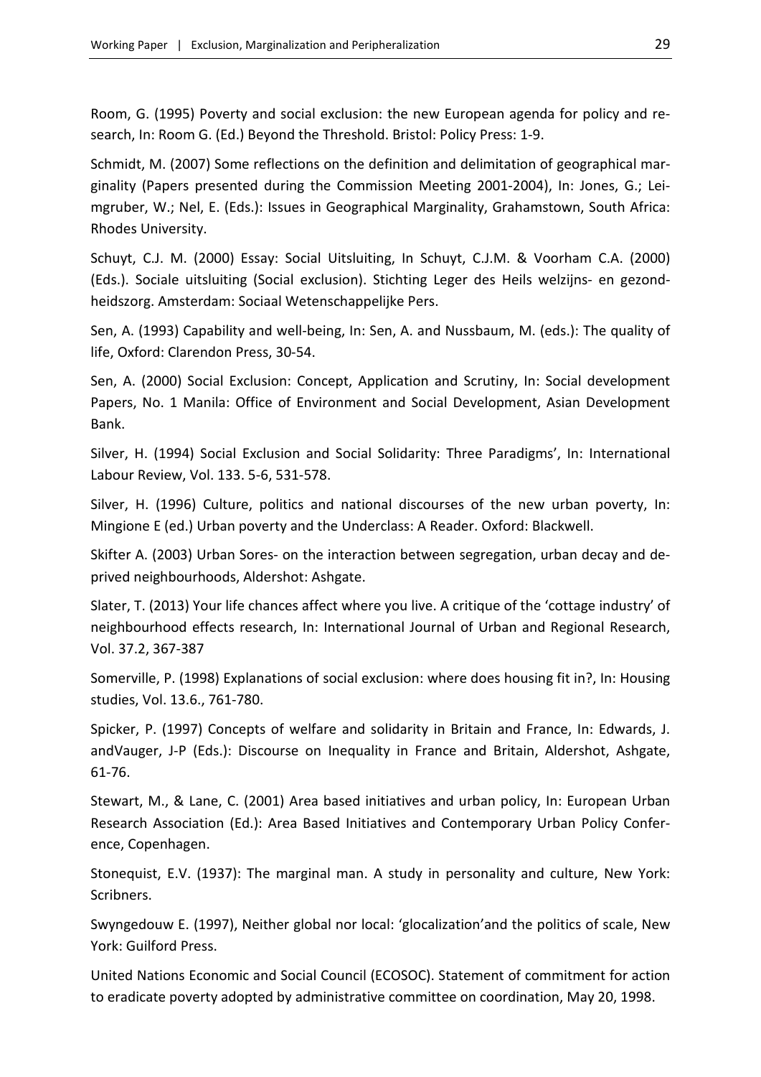Room, G. (1995) Poverty and social exclusion: the new European agenda for policy and research, In: Room G. (Ed.) Beyond the Threshold. Bristol: Policy Press: 1-9.

Schmidt, M. (2007) Some reflections on the definition and delimitation of geographical marginality (Papers presented during the Commission Meeting 2001-2004), In: Jones, G.; Leimgruber, W.; Nel, E. (Eds.): Issues in Geographical Marginality, Grahamstown, South Africa: Rhodes University.

Schuyt, C.J. M. (2000) Essay: Social Uitsluiting, In Schuyt, C.J.M. & Voorham C.A. (2000) (Eds.). Sociale uitsluiting (Social exclusion). Stichting Leger des Heils welzijns- en gezondheidszorg. Amsterdam: Sociaal Wetenschappelijke Pers.

Sen, A. (1993) Capability and well-being, In: Sen, A. and Nussbaum, M. (eds.): The quality of life, Oxford: Clarendon Press, 30-54.

Sen, A. (2000) Social Exclusion: Concept, Application and Scrutiny, In: Social development Papers, No. 1 Manila: Office of Environment and Social Development, Asian Development Bank.

Silver, H. (1994) Social Exclusion and Social Solidarity: Three Paradigms', In: International Labour Review, Vol. 133. 5-6, 531-578.

Silver, H. (1996) Culture, politics and national discourses of the new urban poverty, In: Mingione E (ed.) Urban poverty and the Underclass: A Reader. Oxford: Blackwell.

Skifter A. (2003) Urban Sores- on the interaction between segregation, urban decay and deprived neighbourhoods, Aldershot: Ashgate.

Slater, T. (2013) Your life chances affect where you live. A critique of the 'cottage industry' of neighbourhood effects research, In: International Journal of Urban and Regional Research, Vol. 37.2, 367-387

Somerville, P. (1998) Explanations of social exclusion: where does housing fit in?, In: Housing studies, Vol. 13.6., 761-780.

Spicker, P. (1997) Concepts of welfare and solidarity in Britain and France, In: Edwards, J. andVauger, J-P (Eds.): Discourse on Inequality in France and Britain, Aldershot, Ashgate, 61-76.

Stewart, M., & Lane, C. (2001) Area based initiatives and urban policy, In: European Urban Research Association (Ed.): Area Based Initiatives and Contemporary Urban Policy Conference, Copenhagen.

Stonequist, E.V. (1937): The marginal man. A study in personality and culture, New York: Scribners.

Swyngedouw E. (1997), Neither global nor local: 'glocalization'and the politics of scale, New York: Guilford Press.

United Nations Economic and Social Council (ECOSOC). Statement of commitment for action to eradicate poverty adopted by administrative committee on coordination, May 20, 1998.